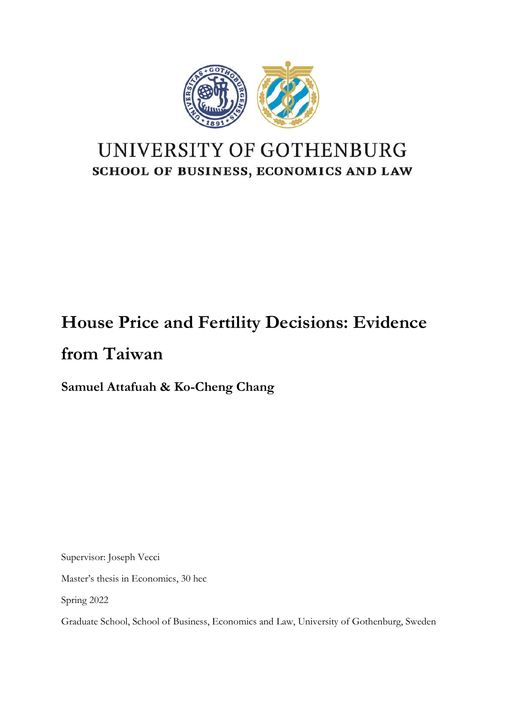

## UNIVERSITY OF GOTHENBURG SCHOOL OF BUSINESS, ECONOMICS AND LAW

# **House Price and Fertility Decisions: Evidence from Taiwan**

**Samuel Attafuah & Ko-Cheng Chang** 

Supervisor: Joseph Vecci

Master's thesis in Economics, 30 hec

Spring 2022

Graduate School, School of Business, Economics and Law, University of Gothenburg, Sweden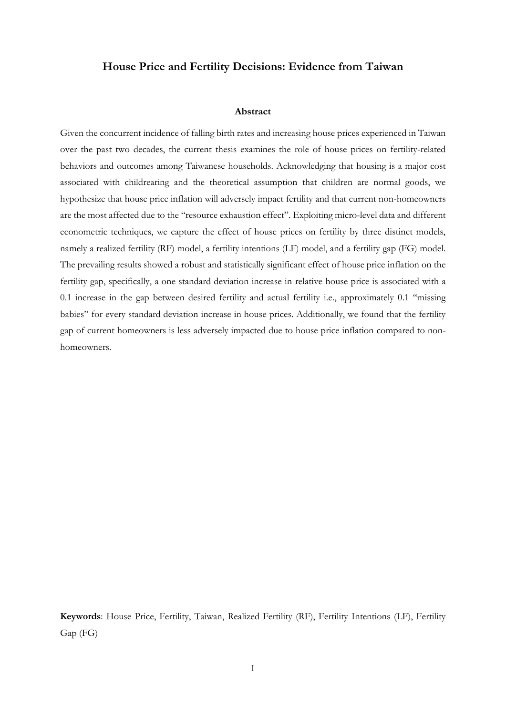#### **House Price and Fertility Decisions: Evidence from Taiwan**

#### **Abstract**

Given the concurrent incidence of falling birth rates and increasing house prices experienced in Taiwan over the past two decades, the current thesis examines the role of house prices on fertility-related behaviors and outcomes among Taiwanese households. Acknowledging that housing is a major cost associated with childrearing and the theoretical assumption that children are normal goods, we hypothesize that house price inflation will adversely impact fertility and that current non-homeowners are the most affected due to the "resource exhaustion effect". Exploiting micro-level data and different econometric techniques, we capture the effect of house prices on fertility by three distinct models, namely a realized fertility (RF) model, a fertility intentions (LF) model, and a fertility gap (FG) model. The prevailing results showed a robust and statistically significant effect of house price inflation on the fertility gap, specifically, a one standard deviation increase in relative house price is associated with a 0.1 increase in the gap between desired fertility and actual fertility i.e., approximately 0.1 "missing babies" for every standard deviation increase in house prices. Additionally, we found that the fertility gap of current homeowners is less adversely impacted due to house price inflation compared to nonhomeowners.

**Keywords**: House Price, Fertility, Taiwan, Realized Fertility (RF), Fertility Intentions (LF), Fertility Gap (FG)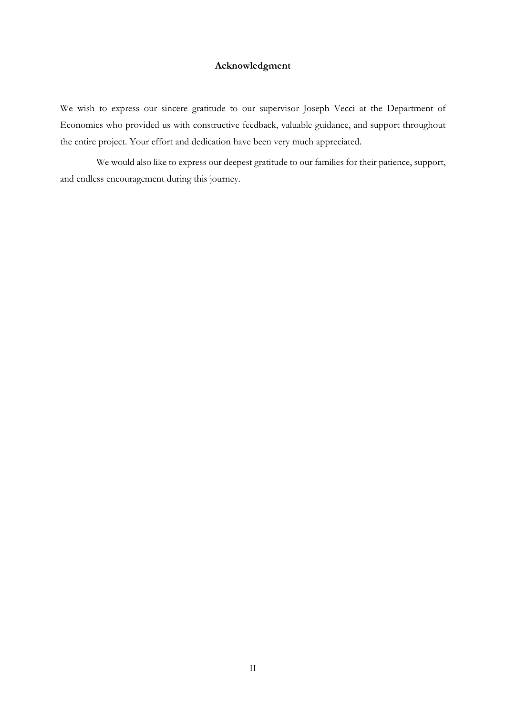#### **Acknowledgment**

We wish to express our sincere gratitude to our supervisor Joseph Vecci at the Department of Economics who provided us with constructive feedback, valuable guidance, and support throughout the entire project. Your effort and dedication have been very much appreciated.

We would also like to express our deepest gratitude to our families for their patience, support, and endless encouragement during this journey.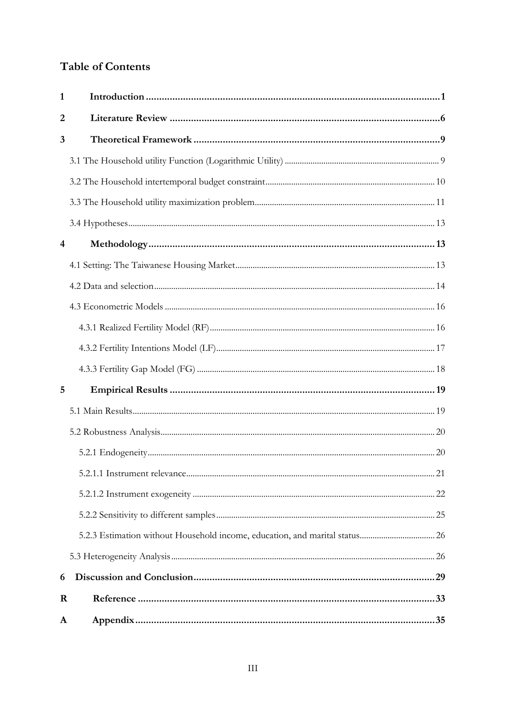## **Table of Contents**

| 1       |  |
|---------|--|
| 2       |  |
| 3       |  |
|         |  |
|         |  |
|         |  |
|         |  |
| 4       |  |
|         |  |
|         |  |
|         |  |
|         |  |
|         |  |
|         |  |
| 5       |  |
|         |  |
|         |  |
|         |  |
|         |  |
|         |  |
|         |  |
|         |  |
|         |  |
| 6       |  |
| $\bf R$ |  |
| A       |  |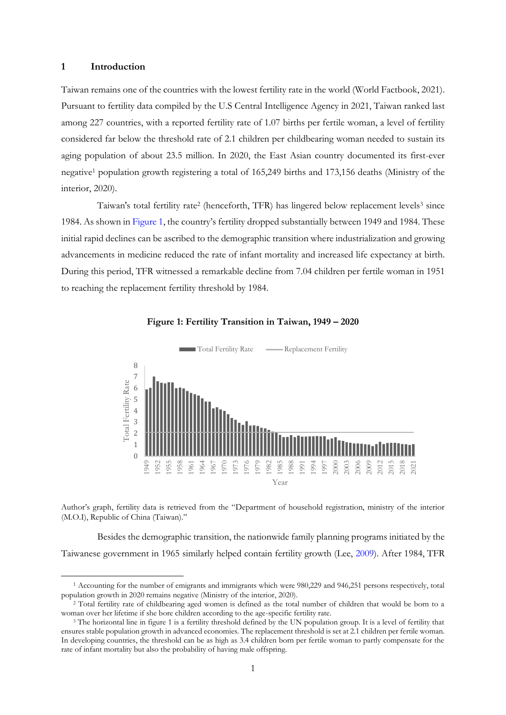#### <span id="page-4-0"></span>**1 Introduction**

<span id="page-4-2"></span>Taiwan remains one of the countries with the lowest fertility rate in the world (World Factbook, 2021). Pursuant to fertility data compiled by the U.S Central Intelligence Agency in 2021, Taiwan ranked last among 227 countries, with a reported fertility rate of 1.07 births per fertile woman, a level of fertility considered far below the threshold rate of 2.1 children per childbearing woman needed to sustain its aging population of about 23.5 million. In 2020, the East Asian country documented its first-ever negative<sup>1</sup> population growth registering a total of 165,249 births and 173,156 deaths (Ministry of the interior, 2020).

Taiwan's total fertility rate<sup>2</sup> (henceforth, TFR) has lingered below replacement levels<sup>3</sup> since 1984. As shown i[n Figure 1](#page-4-1), the country's fertility dropped substantially between 1949 and 1984. These initial rapid declines can be ascribed to the demographic transition where industrialization and growing advancements in medicine reduced the rate of infant mortality and increased life expectancy at birth. During this period, TFR witnessed a remarkable decline from 7.04 children per fertile woman in 1951 to reaching the replacement fertility threshold by 1984.



<span id="page-4-1"></span>

Author's graph, fertility data is retrieved from the "Department of household registration, ministry of the interior (M.O.I), Republic of China (Taiwan)."

Besides the demographic transition, the nationwide family planning programs initiated by the Taiwanese government in 1965 similarly helped contain fertility growth (Lee, [2009\)](#page-37-0). After 1984, TFR

<sup>1</sup> Accounting for the number of emigrants and immigrants which were 980,229 and 946,251 persons respectively, total population growth in 2020 remains negative (Ministry of the interior, 2020).

<sup>2</sup> Total fertility rate of childbearing aged women is defined as the total number of children that would be born to a woman over her lifetime if she bore children according to the age-specific fertility rate.

<sup>3</sup> The horizontal line in figure 1 is a fertility threshold defined by the UN population group. It is a level of fertility that ensures stable population growth in advanced economies. The replacement threshold is set at 2.1 children per fertile woman. In developing countries, the threshold can be as high as 3.4 children born per fertile woman to partly compensate for the rate of infant mortality but also the probability of having male offspring.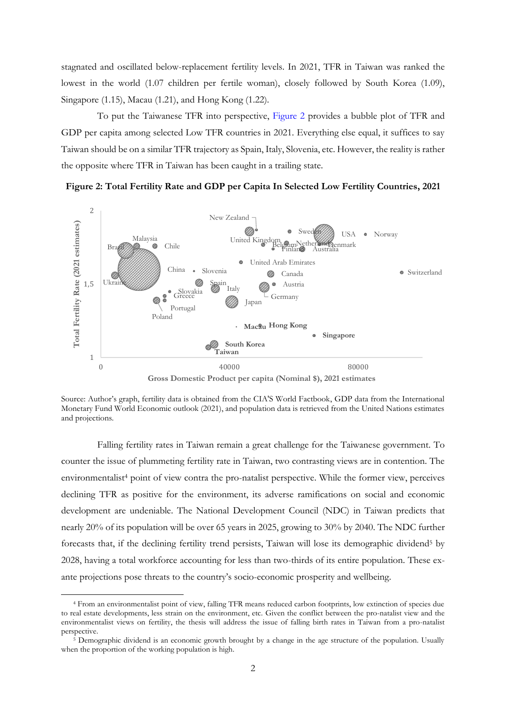stagnated and oscillated below-replacement fertility levels. In 2021, TFR in Taiwan was ranked the lowest in the world (1.07 children per fertile woman), closely followed by South Korea (1.09), Singapore (1.15), Macau (1.21), and Hong Kong (1.22).

To put the Taiwanese TFR into perspective, [Figure 2](#page-5-0) provides a bubble plot of TFR and GDP per capita among selected Low TFR countries in 2021. Everything else equal, it suffices to say Taiwan should be on a similar TFR trajectory as Spain, Italy, Slovenia, etc. However, the reality is rather the opposite where TFR in Taiwan has been caught in a trailing state.

<span id="page-5-0"></span>



**Gross Domestic Product per capita (Nominal \$), 2021 estimates** 

Source: Author's graph, fertility data is obtained from the CIA'S World Factbook, GDP data from the International Monetary Fund World Economic outlook (2021), and population data is retrieved from the United Nations estimates and projections.

Falling fertility rates in Taiwan remain a great challenge for the Taiwanese government. To counter the issue of plummeting fertility rate in Taiwan, two contrasting views are in contention. The environmentalist<sup>4</sup> point of view contra the pro-natalist perspective. While the former view, perceives declining TFR as positive for the environment, its adverse ramifications on social and economic development are undeniable. The National Development Council (NDC) in Taiwan predicts that nearly 20% of its population will be over 65 years in 2025, growing to 30% by 2040. The NDC further forecasts that, if the declining fertility trend persists, Taiwan will lose its demographic dividend<sup>5</sup> by 2028, having a total workforce accounting for less than two-thirds of its entire population. These exante projections pose threats to the country's socio-economic prosperity and wellbeing.

<sup>4</sup> From an environmentalist point of view, falling TFR means reduced carbon footprints, low extinction of species due to real estate developments, less strain on the environment, etc. Given the conflict between the pro-natalist view and the environmentalist views on fertility, the thesis will address the issue of falling birth rates in Taiwan from a pro-natalist perspective.

<sup>5</sup> Demographic dividend is an economic growth brought by a change in the age structure of the population. Usually when the proportion of the working population is high.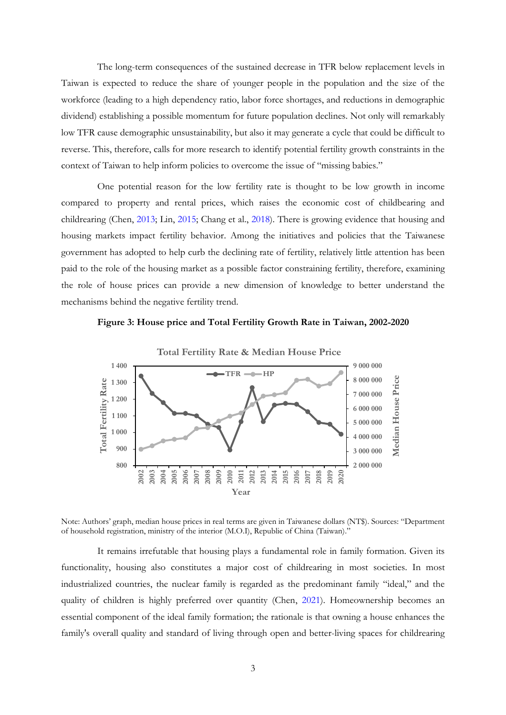The long-term consequences of the sustained decrease in TFR below replacement levels in Taiwan is expected to reduce the share of younger people in the population and the size of the workforce (leading to a high dependency ratio, labor force shortages, and reductions in demographic dividend) establishing a possible momentum for future population declines. Not only will remarkably low TFR cause demographic unsustainability, but also it may generate a cycle that could be difficult to reverse. This, therefore, calls for more research to identify potential fertility growth constraints in the context of Taiwan to help inform policies to overcome the issue of "missing babies."

One potential reason for the low fertility rate is thought to be low growth in income compared to property and rental prices, which raises the economic cost of childbearing and childrearing (Chen, [2013;](#page-36-1) Lin, [2015;](#page-37-1) Chang et al., [2018\)](#page-36-2). There is growing evidence that housing and housing markets impact fertility behavior. Among the initiatives and policies that the Taiwanese government has adopted to help curb the declining rate of fertility, relatively little attention has been paid to the role of the housing market as a possible factor constraining fertility, therefore, examining the role of house prices can provide a new dimension of knowledge to better understand the mechanisms behind the negative fertility trend.

<span id="page-6-0"></span>



Note: Authors' graph, median house prices in real terms are given in Taiwanese dollars (NT\$). Sources: "Department of household registration, ministry of the interior (M.O.I), Republic of China (Taiwan)."

It remains irrefutable that housing plays a fundamental role in family formation. Given its functionality, housing also constitutes a major cost of childrearing in most societies. In most industrialized countries, the nuclear family is regarded as the predominant family "ideal," and the quality of children is highly preferred over quantity (Chen, [2021\)](#page-36-3). Homeownership becomes an essential component of the ideal family formation; the rationale is that owning a house enhances the family's overall quality and standard of living through open and better-living spaces for childrearing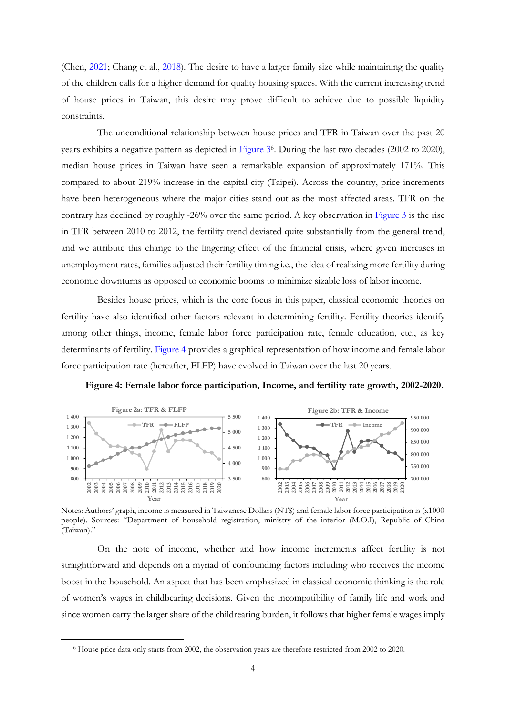(Chen, [2021;](#page-36-3) Chang et al., [2018\)](#page-36-2). The desire to have a larger family size while maintaining the quality of the children calls for a higher demand for quality housing spaces. With the current increasing trend of house prices in Taiwan, this desire may prove difficult to achieve due to possible liquidity constraints.

The unconditional relationship between house prices and TFR in Taiwan over the past 20 years exhibits a negative pattern as depicted in [Figure 3](#page-6-0)6. During the last two decades (2002 to 2020), median house prices in Taiwan have seen a remarkable expansion of approximately 171%. This compared to about 219% increase in the capital city (Taipei). Across the country, price increments have been heterogeneous where the major cities stand out as the most affected areas. TFR on the contrary has declined by roughly -26% over the same period. A key observation in [Figure 3](#page-6-0) is the rise in TFR between 2010 to 2012, the fertility trend deviated quite substantially from the general trend, and we attribute this change to the lingering effect of the financial crisis, where given increases in unemployment rates, families adjusted their fertility timing i.e., the idea of realizing more fertility during economic downturns as opposed to economic booms to minimize sizable loss of labor income.

Besides house prices, which is the core focus in this paper, classical economic theories on fertility have also identified other factors relevant in determining fertility. Fertility theories identify among other things, income, female labor force participation rate, female education, etc., as key determinants of fertility. [Figure 4](#page-7-0) provides a graphical representation of how income and female labor force participation rate (hereafter, FLFP) have evolved in Taiwan over the last 20 years.

**Figure 4: Female labor force participation, Income, and fertility rate growth, 2002-2020.** 

<span id="page-7-0"></span>

Notes: Authors' graph, income is measured in Taiwanese Dollars (NT\$) and female labor force participation is (x1000 people). Sources: "Department of household registration, ministry of the interior (M.O.I), Republic of China (Taiwan)."

On the note of income, whether and how income increments affect fertility is not straightforward and depends on a myriad of confounding factors including who receives the income boost in the household. An aspect that has been emphasized in classical economic thinking is the role of women's wages in childbearing decisions. Given the incompatibility of family life and work and since women carry the larger share of the childrearing burden, it follows that higher female wages imply

<sup>6</sup> House price data only starts from 2002, the observation years are therefore restricted from 2002 to 2020.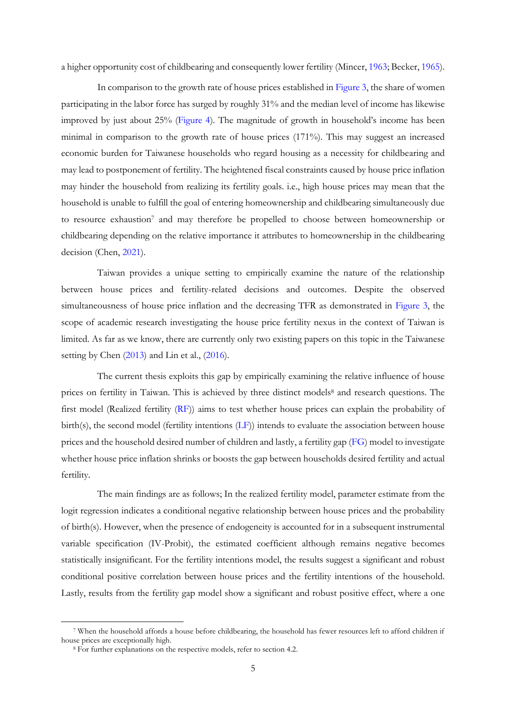a higher opportunity cost of childbearing and consequently lower fertility (Mincer, [1963;](#page-37-2) Becker, [1965\)](#page-36-4).

In comparison to the growth rate of house prices established i[n Figure 3,](#page-6-0) the share of women participating in the labor force has surged by roughly 31% and the median level of income has likewise improved by just about 25% [\(Figure 4\)](#page-7-0). The magnitude of growth in household's income has been minimal in comparison to the growth rate of house prices (171%). This may suggest an increased economic burden for Taiwanese households who regard housing as a necessity for childbearing and may lead to postponement of fertility. The heightened fiscal constraints caused by house price inflation may hinder the household from realizing its fertility goals. i.e., high house prices may mean that the household is unable to fulfill the goal of entering homeownership and childbearing simultaneously due to resource exhaustion<sup>7</sup> and may therefore be propelled to choose between homeownership or childbearing depending on the relative importance it attributes to homeownership in the childbearing decision (Chen, [2021\)](#page-36-3).

Taiwan provides a unique setting to empirically examine the nature of the relationship between house prices and fertility-related decisions and outcomes. Despite the observed simultaneousness of house price inflation and the decreasing TFR as demonstrated in [Figure 3,](#page-6-0) the scope of academic research investigating the house price fertility nexus in the context of Taiwan is limited. As far as we know, there are currently only two existing papers on this topic in the Taiwanese setting by Chen [\(2013\)](#page-36-1) and Lin et al., [\(2016\)](#page-37-3).

The current thesis exploits this gap by empirically examining the relative influence of house prices on fertility in Taiwan. This is achieved by three distinct models<sup>8</sup> and research questions. The first model (Realized fertility [\(RF\)](#page-19-1)) aims to test whether house prices can explain the probability of birth(s), the second model (fertility intentions [\(LF\)](#page-20-0)) intends to evaluate the association between house prices and the household desired number of children and lastly, a fertility gap [\(FG\)](#page-21-0) model to investigate whether house price inflation shrinks or boosts the gap between households desired fertility and actual fertility.

The main findings are as follows; In the realized fertility model, parameter estimate from the logit regression indicates a conditional negative relationship between house prices and the probability of birth(s). However, when the presence of endogeneity is accounted for in a subsequent instrumental variable specification (IV-Probit), the estimated coefficient although remains negative becomes statistically insignificant. For the fertility intentions model, the results suggest a significant and robust conditional positive correlation between house prices and the fertility intentions of the household. Lastly, results from the fertility gap model show a significant and robust positive effect, where a one

<sup>7</sup> When the household affords a house before childbearing, the household has fewer resources left to afford children if house prices are exceptionally high.

<sup>8</sup> For further explanations on the respective models, refer to section 4.2.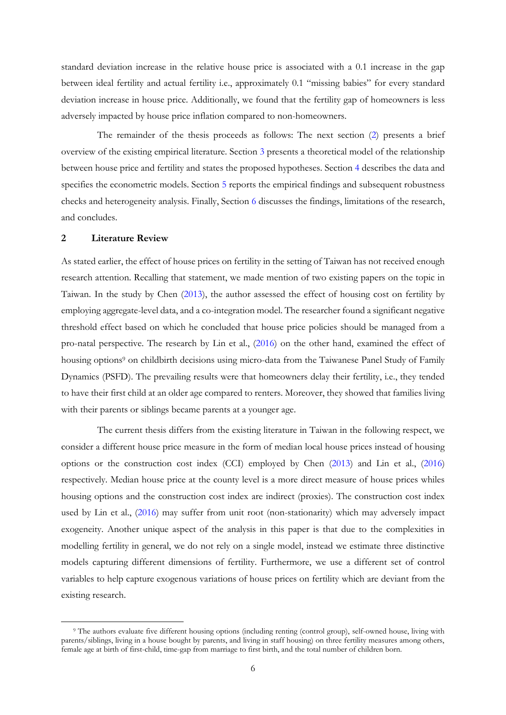standard deviation increase in the relative house price is associated with a 0.1 increase in the gap between ideal fertility and actual fertility i.e., approximately 0.1 "missing babies" for every standard deviation increase in house price. Additionally, we found that the fertility gap of homeowners is less adversely impacted by house price inflation compared to non-homeowners.

The remainder of the thesis proceeds as follows: The next section [\(2\)](#page-4-2) presents a brief overview of the existing empirical literature. Section 3 presents a theoretical model of the relationship between house price and fertility and states the proposed hypotheses. Section [4](#page-16-1) describes the data and specifies the econometric models. Section [5](#page-22-0) reports the empirical findings and subsequent robustness checks and heterogeneity analysis. Finally, Section [6](#page-32-0) discusses the findings, limitations of the research, and concludes.

#### <span id="page-9-0"></span>**2 Literature Review**

As stated earlier, the effect of house prices on fertility in the setting of Taiwan has not received enough research attention. Recalling that statement, we made mention of two existing papers on the topic in Taiwan. In the study by Chen [\(2013\)](#page-36-1), the author assessed the effect of housing cost on fertility by employing aggregate-level data, and a co-integration model. The researcher found a significant negative threshold effect based on which he concluded that house price policies should be managed from a pro-natal perspective. The research by Lin et al., [\(2016\)](#page-37-3) on the other hand, examined the effect of housing options<sup>9</sup> on childbirth decisions using micro-data from the Taiwanese Panel Study of Family Dynamics (PSFD). The prevailing results were that homeowners delay their fertility, i.e., they tended to have their first child at an older age compared to renters. Moreover, they showed that families living with their parents or siblings became parents at a younger age.

The current thesis differs from the existing literature in Taiwan in the following respect, we consider a different house price measure in the form of median local house prices instead of housing options or the construction cost index (CCI) employed by Chen [\(2013\)](#page-36-1) and Lin et al., [\(2016\)](#page-37-3) respectively. Median house price at the county level is a more direct measure of house prices whiles housing options and the construction cost index are indirect (proxies). The construction cost index used by Lin et al., [\(2016\)](#page-37-3) may suffer from unit root (non-stationarity) which may adversely impact exogeneity. Another unique aspect of the analysis in this paper is that due to the complexities in modelling fertility in general, we do not rely on a single model, instead we estimate three distinctive models capturing different dimensions of fertility. Furthermore, we use a different set of control variables to help capture exogenous variations of house prices on fertility which are deviant from the existing research.

<sup>9</sup> The authors evaluate five different housing options (including renting (control group), self-owned house, living with parents/siblings, living in a house bought by parents, and living in staff housing) on three fertility measures among others, female age at birth of first-child, time-gap from marriage to first birth, and the total number of children born.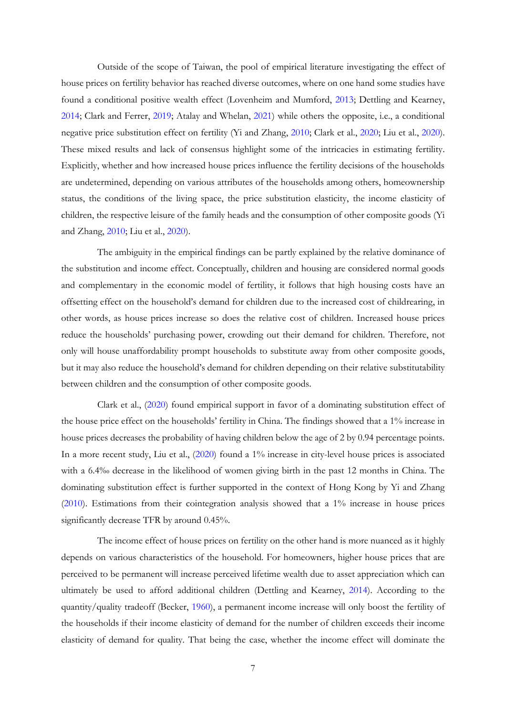Outside of the scope of Taiwan, the pool of empirical literature investigating the effect of house prices on fertility behavior has reached diverse outcomes, where on one hand some studies have found a conditional positive wealth effect (Lovenheim and Mumford, [2013;](#page-37-4) Dettling and Kearney, [2014;](#page-36-5) Clark and Ferrer, [2019;](#page-36-6) Atalay and Whelan, [2021\)](#page-36-7) while others the opposite, i.e., a conditional negative price substitution effect on fertility (Yi and Zhang, [2010;](#page-37-5) Clark et al., [2020;](#page-36-8) Liu et al., [2020\)](#page-37-6). These mixed results and lack of consensus highlight some of the intricacies in estimating fertility. Explicitly, whether and how increased house prices influence the fertility decisions of the households are undetermined, depending on various attributes of the households among others, homeownership status, the conditions of the living space, the price substitution elasticity, the income elasticity of children, the respective leisure of the family heads and the consumption of other composite goods (Yi and Zhang, [2010;](#page-37-5) Liu et al., [2020\)](#page-37-6).

The ambiguity in the empirical findings can be partly explained by the relative dominance of the substitution and income effect. Conceptually, children and housing are considered normal goods and complementary in the economic model of fertility, it follows that high housing costs have an offsetting effect on the household's demand for children due to the increased cost of childrearing, in other words, as house prices increase so does the relative cost of children. Increased house prices reduce the households' purchasing power, crowding out their demand for children. Therefore, not only will house unaffordability prompt households to substitute away from other composite goods, but it may also reduce the household's demand for children depending on their relative substitutability between children and the consumption of other composite goods.

Clark et al., [\(2020\)](#page-36-8) found empirical support in favor of a dominating substitution effect of the house price effect on the households' fertility in China. The findings showed that a 1% increase in house prices decreases the probability of having children below the age of 2 by 0.94 percentage points. In a more recent study, Liu et al., [\(2020\)](#page-37-6) found a 1% increase in city-level house prices is associated with a 6.4‰ decrease in the likelihood of women giving birth in the past 12 months in China. The dominating substitution effect is further supported in the context of Hong Kong by Yi and Zhang [\(2010\)](#page-37-5). Estimations from their cointegration analysis showed that a 1% increase in house prices significantly decrease TFR by around 0.45%.

The income effect of house prices on fertility on the other hand is more nuanced as it highly depends on various characteristics of the household. For homeowners, higher house prices that are perceived to be permanent will increase perceived lifetime wealth due to asset appreciation which can ultimately be used to afford additional children (Dettling and Kearney, [2014\)](#page-36-5). According to the quantity/quality tradeoff (Becker, [1960\)](#page-36-7), a permanent income increase will only boost the fertility of the households if their income elasticity of demand for the number of children exceeds their income elasticity of demand for quality. That being the case, whether the income effect will dominate the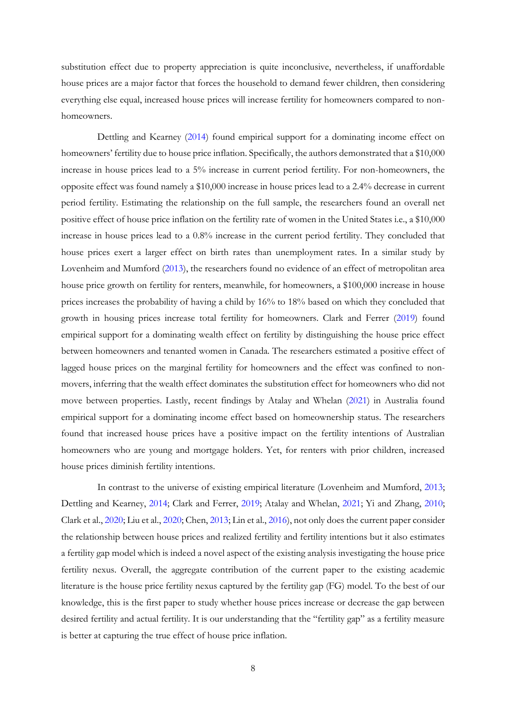substitution effect due to property appreciation is quite inconclusive, nevertheless, if unaffordable house prices are a major factor that forces the household to demand fewer children, then considering everything else equal, increased house prices will increase fertility for homeowners compared to nonhomeowners.

Dettling and Kearney [\(2014\)](#page-36-5) found empirical support for a dominating income effect on homeowners' fertility due to house price inflation. Specifically, the authors demonstrated that a \$10,000 increase in house prices lead to a 5% increase in current period fertility. For non-homeowners, the opposite effect was found namely a \$10,000 increase in house prices lead to a 2.4% decrease in current period fertility. Estimating the relationship on the full sample, the researchers found an overall net positive effect of house price inflation on the fertility rate of women in the United States i.e., a \$10,000 increase in house prices lead to a 0.8% increase in the current period fertility. They concluded that house prices exert a larger effect on birth rates than unemployment rates. In a similar study by Lovenheim and Mumford [\(2013\)](#page-37-4), the researchers found no evidence of an effect of metropolitan area house price growth on fertility for renters, meanwhile, for homeowners, a \$100,000 increase in house prices increases the probability of having a child by 16% to 18% based on which they concluded that growth in housing prices increase total fertility for homeowners. Clark and Ferrer [\(2019\)](#page-36-6) found empirical support for a dominating wealth effect on fertility by distinguishing the house price effect between homeowners and tenanted women in Canada. The researchers estimated a positive effect of lagged house prices on the marginal fertility for homeowners and the effect was confined to nonmovers, inferring that the wealth effect dominates the substitution effect for homeowners who did not move between properties. Lastly, recent findings by Atalay and Whelan [\(2021\)](#page-36-7) in Australia found empirical support for a dominating income effect based on homeownership status. The researchers found that increased house prices have a positive impact on the fertility intentions of Australian homeowners who are young and mortgage holders. Yet, for renters with prior children, increased house prices diminish fertility intentions.

In contrast to the universe of existing empirical literature (Lovenheim and Mumford, [2013;](#page-37-4) Dettling and Kearney, [2014;](#page-36-5) Clark and Ferrer, [2019;](#page-36-6) Atalay and Whelan, [2021;](#page-36-7) Yi and Zhang, [2010;](#page-37-5) Clark et al., [2020;](#page-36-8) Liu et al., [2020;](#page-37-6) Chen, [2013;](#page-36-1) Lin et al., [2016\)](#page-37-3), not only does the current paper consider the relationship between house prices and realized fertility and fertility intentions but it also estimates a fertility gap model which is indeed a novel aspect of the existing analysis investigating the house price fertility nexus. Overall, the aggregate contribution of the current paper to the existing academic literature is the house price fertility nexus captured by the fertility gap (FG) model. To the best of our knowledge, this is the first paper to study whether house prices increase or decrease the gap between desired fertility and actual fertility. It is our understanding that the "fertility gap" as a fertility measure is better at capturing the true effect of house price inflation.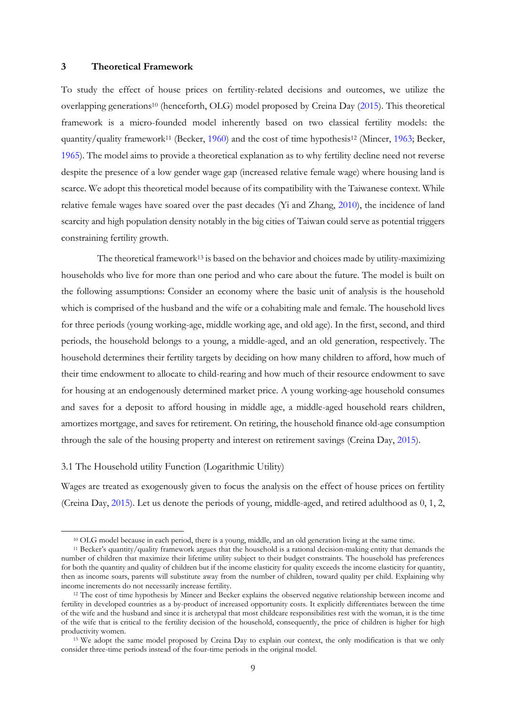#### <span id="page-12-0"></span>**3 Theoretical Framework**

To study the effect of house prices on fertility-related decisions and outcomes, we utilize the overlapping generations<sup>10</sup> (henceforth, OLG) model proposed by Creina Day [\(2015\)](#page-36-9). This theoretical framework is a micro-founded model inherently based on two classical fertility models: the quantity/quality framework<sup>11</sup> (Becker, [1960\)](#page-36-7) and the cost of time hypothesis<sup>12</sup> (Mincer, [1963;](#page-37-2) Becker, [1965\)](#page-36-4). The model aims to provide a theoretical explanation as to why fertility decline need not reverse despite the presence of a low gender wage gap (increased relative female wage) where housing land is scarce. We adopt this theoretical model because of its compatibility with the Taiwanese context. While relative female wages have soared over the past decades (Yi and Zhang, [2010\)](#page-37-5), the incidence of land scarcity and high population density notably in the big cities of Taiwan could serve as potential triggers constraining fertility growth.

The theoretical framework<sup>13</sup> is based on the behavior and choices made by utility-maximizing households who live for more than one period and who care about the future. The model is built on the following assumptions: Consider an economy where the basic unit of analysis is the household which is comprised of the husband and the wife or a cohabiting male and female. The household lives for three periods (young working-age, middle working age, and old age). In the first, second, and third periods, the household belongs to a young, a middle-aged, and an old generation, respectively. The household determines their fertility targets by deciding on how many children to afford, how much of their time endowment to allocate to child-rearing and how much of their resource endowment to save for housing at an endogenously determined market price. A young working-age household consumes and saves for a deposit to afford housing in middle age, a middle-aged household rears children, amortizes mortgage, and saves for retirement. On retiring, the household finance old-age consumption through the sale of the housing property and interest on retirement savings (Creina Day, [2015\)](#page-36-9).

#### <span id="page-12-1"></span>3.1 The Household utility Function (Logarithmic Utility)

Wages are treated as exogenously given to focus the analysis on the effect of house prices on fertility (Creina Day, [2015\)](#page-36-9). Let us denote the periods of young, middle-aged, and retired adulthood as 0, 1, 2,

<sup>10</sup> OLG model because in each period, there is a young, middle, and an old generation living at the same time.

<sup>11</sup> Becker's quantity/quality framework argues that the household is a rational decision-making entity that demands the number of children that maximize their lifetime utility subject to their budget constraints. The household has preferences for both the quantity and quality of children but if the income elasticity for quality exceeds the income elasticity for quantity, then as income soars, parents will substitute away from the number of children, toward quality per child. Explaining why income increments do not necessarily increase fertility.

<sup>12</sup> The cost of time hypothesis by Mincer and Becker explains the observed negative relationship between income and fertility in developed countries as a by-product of increased opportunity costs. It explicitly differentiates between the time of the wife and the husband and since it is archetypal that most childcare responsibilities rest with the woman, it is the time of the wife that is critical to the fertility decision of the household, consequently, the price of children is higher for high productivity women.

<sup>13</sup> We adopt the same model proposed by Creina Day to explain our context, the only modification is that we only consider three-time periods instead of the four-time periods in the original model.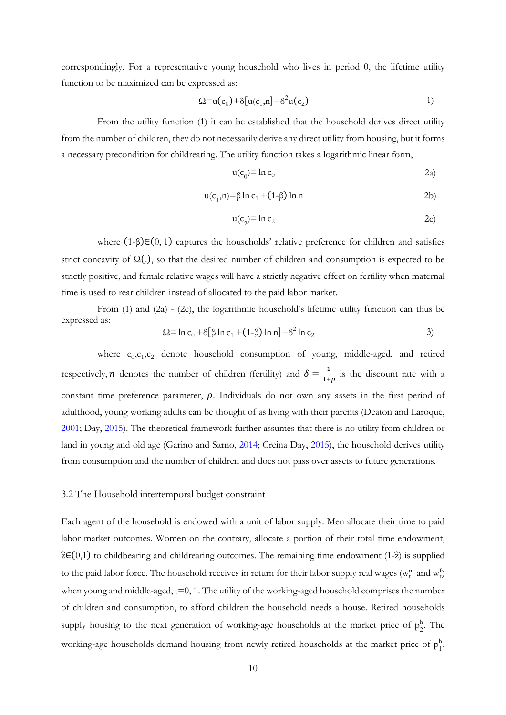correspondingly. For a representative young household who lives in period 0, the lifetime utility function to be maximized can be expressed as:

$$
\Omega = u(c_0) + \delta [u(c_1, n] + \delta^2 u(c_2) \qquad 1)
$$

From the utility function (1) it can be established that the household derives direct utility from the number of children, they do not necessarily derive any direct utility from housing, but it forms a necessary precondition for childrearing. The utility function takes a logarithmic linear form,

$$
u(c_0) = \ln c_0 \tag{2a}
$$

$$
u(c_1, n) = \beta \ln c_1 + (1 - \beta) \ln n
$$
 (2b)

$$
u(c_2) = \ln c_2 \tag{2c}
$$

where  $(1-\beta) \in (0, 1)$  captures the households' relative preference for children and satisfies strict concavity of  $\Omega(.)$ , so that the desired number of children and consumption is expected to be strictly positive, and female relative wages will have a strictly negative effect on fertility when maternal time is used to rear children instead of allocated to the paid labor market.

From (1) and (2a) - (2c), the logarithmic household's lifetime utility function can thus be expressed as:

$$
\Omega = \ln c_0 + \delta [\beta \ln c_1 + (1-\beta) \ln n] + \delta^2 \ln c_2
$$
 (3)

where  $c_0$ , $c_1$ , $c_2$  denote household consumption of young, middle-aged, and retired respectively, *n* denotes the number of children (fertility) and  $\delta = \frac{1}{1+\epsilon}$  $\frac{1}{1+\rho}$  is the discount rate with a constant time preference parameter,  $\rho$ . Individuals do not own any assets in the first period of adulthood, young working adults can be thought of as living with their parents (Deaton and Laroque, [2001;](#page-36-10) Day, [2015\)](#page-36-9). The theoretical framework further assumes that there is no utility from children or land in young and old age (Garino and Sarno, [2014;](#page-37-7) Creina Day, [2015\)](#page-36-9), the household derives utility from consumption and the number of children and does not pass over assets to future generations.

#### <span id="page-13-0"></span>3.2 The Household intertemporal budget constraint

Each agent of the household is endowed with a unit of labor supply. Men allocate their time to paid labor market outcomes. Women on the contrary, allocate a portion of their total time endowment,  $\hat{z} \in (0,1)$  to childbearing and childrearing outcomes. The remaining time endowment (1- $\hat{z}$ ) is supplied to the paid labor force. The household receives in return for their labor supply real wages ( $w_t^m$  and  $w_t^f$ ) when young and middle-aged,  $t=0, 1$ . The utility of the working-aged household comprises the number of children and consumption, to afford children the household needs a house. Retired households supply housing to the next generation of working-age households at the market price of  $p_2^h$  $\frac{h}{2}$ . The working-age households demand housing from newly retired households at the market price of  $p_1^b$ h .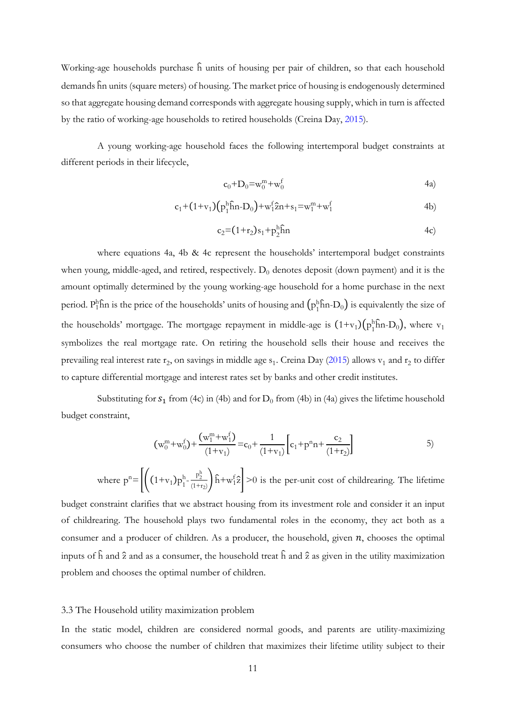Working-age households purchase  $\hat{h}$  units of housing per pair of children, so that each household demands ĥn units (square meters) of housing. The market price of housing is endogenously determined so that aggregate housing demand corresponds with aggregate housing supply, which in turn is affected by the ratio of working-age households to retired households (Creina Day, [2015\)](#page-36-9).

A young working-age household faces the following intertemporal budget constraints at different periods in their lifecycle,

$$
c_0 + D_0 = w_0^m + w_0^f \tag{4a}
$$

$$
c_1 + (1 + v_1) (p_1^h \hat{h} n - D_0) + w_1^f \hat{z} n + s_1 = w_1^m + w_1^f
$$
 (4b)

$$
c_2 = (1 + r_2)s_1 + p_2^h \hat{h}n \tag{4c}
$$

where equations 4a, 4b & 4c represent the households' intertemporal budget constraints when young, middle-aged, and retired, respectively.  $D_0$  denotes deposit (down payment) and it is the amount optimally determined by the young working-age household for a home purchase in the next period.  $P_1^h$ hîn is the price of the households' units of housing and  $(p_1^h$ hîn-D<sub>0</sub>) is equivalently the size of the households' mortgage. The mortgage repayment in middle-age is  $(1+v_1)(p_1^h$ fin-D<sub>0</sub>), where  $v_1$ symbolizes the real mortgage rate. On retiring the household sells their house and receives the prevailing real interest rate  $r_2$ , on savings in middle age  $s_1$ . Creina Day [\(2015\)](#page-36-9) allows  $v_1$  and  $r_2$  to differ to capture differential mortgage and interest rates set by banks and other credit institutes.

<span id="page-14-1"></span>Substituting for  $s_1$  from (4c) in (4b) and for  $D_0$  from (4b) in (4a) gives the lifetime household budget constraint,

$$
(\mathbf{w}_0^m + \mathbf{w}_0^f) + \frac{(\mathbf{w}_1^m + \mathbf{w}_1^f)}{(1 + \mathbf{v}_1)} = \mathbf{c}_0 + \frac{1}{(1 + \mathbf{v}_1)} \left[ \mathbf{c}_1 + \mathbf{p}^n \mathbf{n} + \frac{\mathbf{c}_2}{(1 + \mathbf{r}_2)} \right]
$$
 5)

where  $p^n = \left| \left( (1+v_1)p_1 \right) \right|$  $h = \frac{p_2^h}{4}$  $\frac{p_2}{(1+r_2)}$   $\hat{h}$  +w<sub>1</sub><sup>2</sup>  $>$  0 is the per-unit cost of childrearing. The lifetime

budget constraint clarifies that we abstract housing from its investment role and consider it an input of childrearing. The household plays two fundamental roles in the economy, they act both as a consumer and a producer of children. As a producer, the household, given  $n$ , chooses the optimal inputs of  $\hat{h}$  and  $\hat{z}$  and as a consumer, the household treat  $\hat{h}$  and  $\hat{z}$  as given in the utility maximization problem and chooses the optimal number of children.

#### <span id="page-14-0"></span>3.3 The Household utility maximization problem

In the static model, children are considered normal goods, and parents are utility-maximizing consumers who choose the number of children that maximizes their lifetime utility subject to their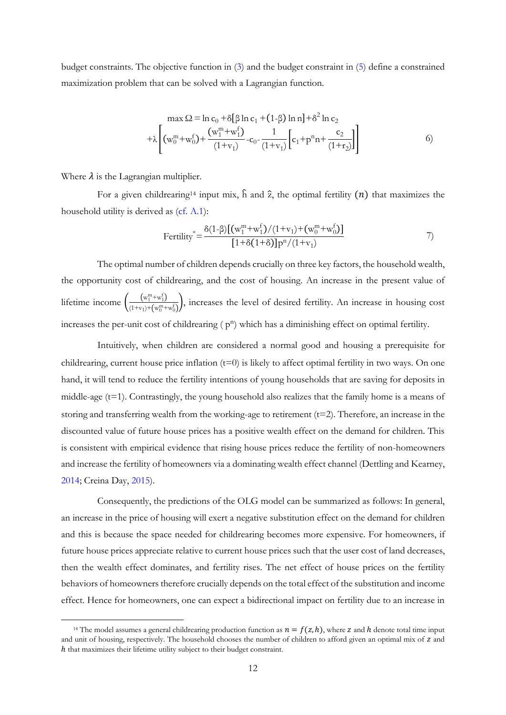budget constraints. The objective function in (3) and the budget constraint in [\(5\)](#page-14-1) define a constrained maximization problem that can be solved with a Lagrangian function.

$$
\max \Omega = \ln c_0 + \delta [\beta \ln c_1 + (1-\beta) \ln n] + \delta^2 \ln c_2
$$
  
+  $\lambda \left[ (w_0^m + w_0^f) + \frac{(w_1^m + w_1^f)}{(1+v_1)} - c_0 - \frac{1}{(1+v_1)} \left[ c_1 + p^n n + \frac{c_2}{(1+v_2)} \right] \right]$  (6)

Where  $\lambda$  is the Lagrangian multiplier.

For a given childrearing<sup>14</sup> input mix,  $\hat{h}$  and  $\hat{z}$ , the optimal fertility  $(n)$  that maximizes the household utility is derived as [\(cf. A.1\)](#page-38-1):

Fertility<sup>\*</sup> = 
$$
\frac{\delta(1-\beta)[(w_1^m+w_1^f)/(1+v_1)+(w_0^m+w_0^f)]}{[1+\delta(1+\delta)]p^n/(1+v_1)}
$$
 7)

The optimal number of children depends crucially on three key factors, the household wealth, the opportunity cost of childrearing, and the cost of housing. An increase in the present value of lifetime income  $\left(\frac{(\mathbf{w}_1^{\mathbf{m}} + \mathbf{w}_1^{\mathbf{f}})}{(\mathbf{w}_1 + \mathbf{w}_2^{\mathbf{f}} + \mathbf{w}_3^{\mathbf{f}})}\right)$  $\frac{(w_1 + w_1)}{(1 + v_1) + (w_0^m + w_0^f)}$ , increases the level of desired fertility. An increase in housing cost increases the per-unit cost of childrearing  $(p^n)$  which has a diminishing effect on optimal fertility.

Intuitively, when children are considered a normal good and housing a prerequisite for childrearing, current house price inflation (t=0) is likely to affect optimal fertility in two ways. On one hand, it will tend to reduce the fertility intentions of young households that are saving for deposits in middle-age  $(t=1)$ . Contrastingly, the young household also realizes that the family home is a means of storing and transferring wealth from the working-age to retirement  $(t=2)$ . Therefore, an increase in the discounted value of future house prices has a positive wealth effect on the demand for children. This is consistent with empirical evidence that rising house prices reduce the fertility of non-homeowners and increase the fertility of homeowners via a dominating wealth effect channel (Dettling and Kearney, [2014;](#page-36-5) Creina Day, [2015\)](#page-36-9).

Consequently, the predictions of the OLG model can be summarized as follows: In general, an increase in the price of housing will exert a negative substitution effect on the demand for children and this is because the space needed for childrearing becomes more expensive. For homeowners, if future house prices appreciate relative to current house prices such that the user cost of land decreases, then the wealth effect dominates, and fertility rises. The net effect of house prices on the fertility behaviors of homeowners therefore crucially depends on the total effect of the substitution and income effect. Hence for homeowners, one can expect a bidirectional impact on fertility due to an increase in

<sup>&</sup>lt;sup>14</sup> The model assumes a general childrearing production function as  $n = f(z, h)$ , where z and h denote total time input and unit of housing, respectively. The household chooses the number of children to afford given an optimal mix of z and ℎ that maximizes their lifetime utility subject to their budget constraint.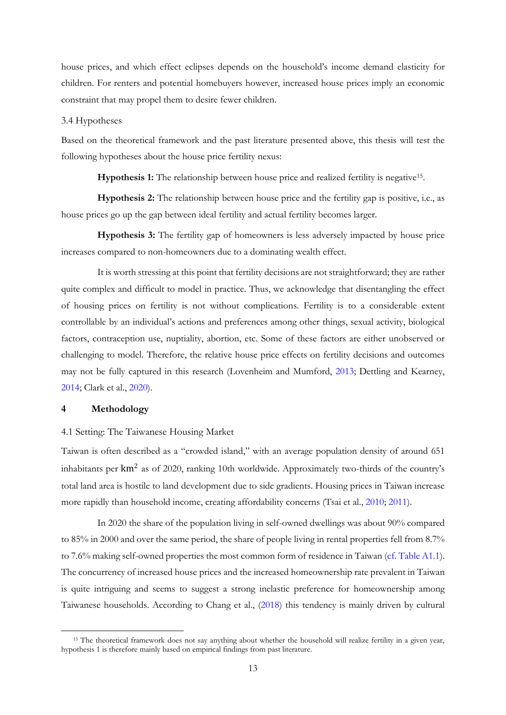house prices, and which effect eclipses depends on the household's income demand elasticity for children. For renters and potential homebuyers however, increased house prices imply an economic constraint that may propel them to desire fewer children.

#### <span id="page-16-0"></span>3.4 Hypotheses

Based on the theoretical framework and the past literature presented above, this thesis will test the following hypotheses about the house price fertility nexus:

Hypothesis 1: The relationship between house price and realized fertility is negative<sup>15</sup>.

**Hypothesis 2:** The relationship between house price and the fertility gap is positive, i.e., as house prices go up the gap between ideal fertility and actual fertility becomes larger.

**Hypothesis 3:** The fertility gap of homeowners is less adversely impacted by house price increases compared to non-homeowners due to a dominating wealth effect.

It is worth stressing at this point that fertility decisions are not straightforward; they are rather quite complex and difficult to model in practice. Thus, we acknowledge that disentangling the effect of housing prices on fertility is not without complications. Fertility is to a considerable extent controllable by an individual's actions and preferences among other things, sexual activity, biological factors, contraception use, nuptiality, abortion, etc. Some of these factors are either unobserved or challenging to model. Therefore, the relative house price effects on fertility decisions and outcomes may not be fully captured in this research (Lovenheim and Mumford, [2013;](#page-37-4) Dettling and Kearney, [2014;](#page-36-5) Clark et al., [2020\)](#page-36-8).

#### <span id="page-16-1"></span>**4 Methodology**

#### <span id="page-16-2"></span>4.1 Setting: The Taiwanese Housing Market

Taiwan is often described as a "crowded island," with an average population density of around 651 inhabitants per  $km^2$  as of 2020, ranking 10th worldwide. Approximately two-thirds of the country's total land area is hostile to land development due to side gradients. Housing prices in Taiwan increase more rapidly than household income, creating affordability concerns (Tsai et al., [2010;](#page-37-8) [2011\)](#page-37-9).

In 2020 the share of the population living in self-owned dwellings was about 90% compared to 85% in 2000 and over the same period, the share of people living in rental properties fell from 8.7% to 7.6% making self-owned properties the most common form of residence in Taiwan [\(cf. Table A1.1\)](#page-39-0). The concurrency of increased house prices and the increased homeownership rate prevalent in Taiwan is quite intriguing and seems to suggest a strong inelastic preference for homeownership among Taiwanese households. According to Chang et al., [\(2018\)](#page-36-2) this tendency is mainly driven by cultural

<sup>15</sup> The theoretical framework does not say anything about whether the household will realize fertility in a given year, hypothesis 1 is therefore mainly based on empirical findings from past literature.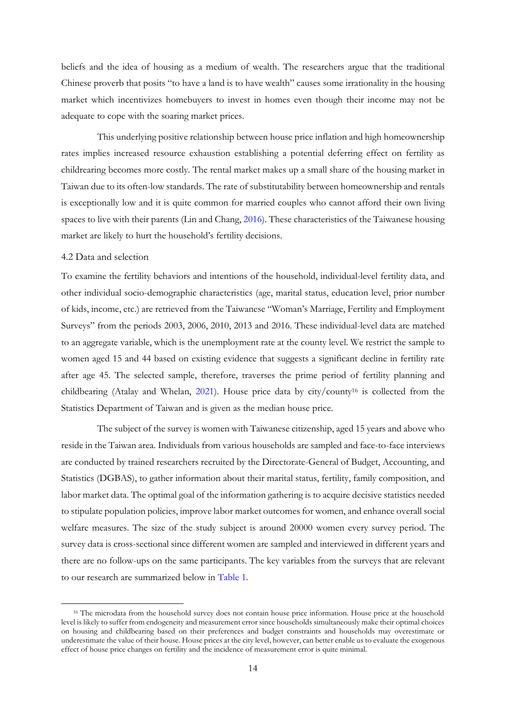beliefs and the idea of housing as a medium of wealth. The researchers argue that the traditional Chinese proverb that posits "to have a land is to have wealth" causes some irrationality in the housing market which incentivizes homebuyers to invest in homes even though their income may not be adequate to cope with the soaring market prices.

This underlying positive relationship between house price inflation and high homeownership rates implies increased resource exhaustion establishing a potential deferring effect on fertility as childrearing becomes more costly. The rental market makes up a small share of the housing market in Taiwan due to its often-low standards. The rate of substitutability between homeownership and rentals is exceptionally low and it is quite common for married couples who cannot afford their own living spaces to live with their parents (Lin and Chang[, 2016\)](#page-37-3). These characteristics of the Taiwanese housing market are likely to hurt the household's fertility decisions.

#### <span id="page-17-0"></span>4.2 Data and selection

To examine the fertility behaviors and intentions of the household, individual-level fertility data, and other individual socio-demographic characteristics (age, marital status, education level, prior number of kids, income, etc.) are retrieved from the Taiwanese "Woman's Marriage, Fertility and Employment Surveys" from the periods 2003, 2006, 2010, 2013 and 2016. These individual-level data are matched to an aggregate variable, which is the unemployment rate at the county level. We restrict the sample to women aged 15 and 44 based on existing evidence that suggests a significant decline in fertility rate after age 45. The selected sample, therefore, traverses the prime period of fertility planning and childbearing (Atalay and Whelan, [2021\)](#page-36-7). House price data by city/county<sup>16</sup> is collected from the Statistics Department of Taiwan and is given as the median house price.

The subject of the survey is women with Taiwanese citizenship, aged 15 years and above who reside in the Taiwan area. Individuals from various households are sampled and face-to-face interviews are conducted by trained researchers recruited by the Directorate-General of Budget, Accounting, and Statistics (DGBAS), to gather information about their marital status, fertility, family composition, and labor market data. The optimal goal of the information gathering is to acquire decisive statistics needed to stipulate population policies, improve labor market outcomes for women, and enhance overall social welfare measures. The size of the study subject is around 20000 women every survey period. The survey data is cross-sectional since different women are sampled and interviewed in different years and there are no follow-ups on the same participants. The key variables from the surveys that are relevant to our research are summarized below in [Table 1.](#page-18-0)

<sup>&</sup>lt;sup>16</sup> The microdata from the household survey does not contain house price information. House price at the household level is likely to suffer from endogeneity and measurement error since households simultaneously make their optimal choices on housing and childbearing based on their preferences and budget constraints and households may overestimate or underestimate the value of their house. House prices at the city level, however, can better enable us to evaluate the exogenous effect of house price changes on fertility and the incidence of measurement error is quite minimal.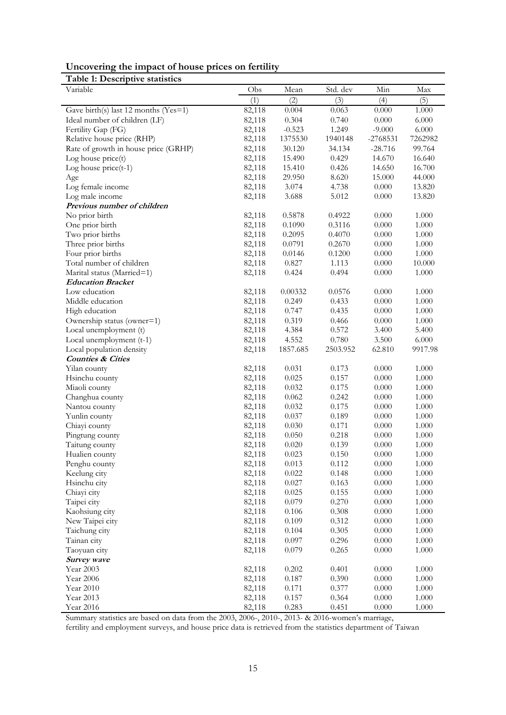| Uncovering the impact of house prices on fertility |  |  |
|----------------------------------------------------|--|--|
|                                                    |  |  |

<span id="page-18-0"></span>**Table 1: Descriptive statistics**

| Variable                                 | Obs    | Mean     | Std. dev | Min        | Max       |
|------------------------------------------|--------|----------|----------|------------|-----------|
|                                          | (1)    | (2)      | (3)      | (4)        | (5)       |
| Gave birth(s) last 12 months ( $Yes=1$ ) | 82,118 | 0.004    | 0.063    | 0.000      | 1.000     |
| Ideal number of children (LF)            | 82,118 | 0.304    | 0.740    | 0.000      | 6.000     |
| Fertility Gap (FG)                       | 82,118 | $-0.523$ | 1.249    | $-9.000$   | 6.000     |
| Relative house price (RHP)               | 82,118 | 1375530  | 1940148  | $-2768531$ | 7262982   |
| Rate of growth in house price (GRHP)     | 82,118 | 30.120   | 34.134   | $-28.716$  | 99.764    |
| Log house price(t)                       | 82,118 | 15.490   | 0.429    | 14.670     | 16.640    |
| Log house $price(t-1)$                   | 82,118 | 15.410   | 0.426    | 14.650     | 16.700    |
| Age                                      | 82,118 | 29.950   | 8.620    | 15.000     | 44.000    |
| Log female income                        | 82,118 | 3.074    | 4.738    | 0.000      | 13.820    |
| Log male income                          | 82,118 | 3.688    | 5.012    | 0.000      | 13.820    |
| Previous number of children              |        |          |          |            |           |
| No prior birth                           | 82,118 | 0.5878   | 0.4922   | 0.000      | 1.000     |
| One prior birth                          | 82,118 | 0.1090   | 0.3116   | 0.000      | 1.000     |
| Two prior births                         | 82,118 | 0.2095   | 0.4070   | 0.000      | 1.000     |
| Three prior births                       | 82,118 | 0.0791   | 0.2670   | 0.000      | 1.000     |
| Four prior births                        | 82,118 | 0.0146   | 0.1200   | 0.000      | 1.000     |
| Total number of children                 | 82,118 | 0.827    | 1.113    | 0.000      | 10.000    |
| Marital status (Married=1)               | 82,118 | 0.424    | 0.494    | 0.000      | 1.000     |
| <b>Education Bracket</b>                 |        |          |          |            |           |
| Low education                            | 82,118 | 0.00332  | 0.0576   | 0.000      | 1.000     |
| Middle education                         | 82,118 | 0.249    | 0.433    | 0.000      | 1.000     |
| High education                           | 82,118 | 0.747    | 0.435    | 0.000      | 1.000     |
| Ownership status (owner=1)               | 82,118 | 0.319    | 0.466    | 0.000      | 1.000     |
| Local unemployment (t)                   | 82,118 | 4.384    | 0.572    | 3.400      | 5.400     |
| Local unemployment (t-1)                 | 82,118 | 4.552    | 0.780    | 3.500      | 6.000     |
| Local population density                 | 82,118 | 1857.685 | 2503.952 | 62.810     | 9917.98   |
| <b>Counties &amp; Cities</b>             |        |          |          |            |           |
| Yilan county                             | 82,118 | 0.031    | 0.173    | 0.000      | 1.000     |
| Hsinchu county                           | 82,118 | 0.025    | 0.157    | 0.000      | 1.000     |
| Miaoli county                            | 82,118 | 0.032    | 0.175    | 0.000      | 1.000     |
| Changhua county                          | 82,118 | 0.062    | 0.242    | 0.000      | 1.000     |
| Nantou county                            | 82,118 | 0.032    | 0.175    | 0.000      | 1.000     |
| Yunlin county                            | 82,118 | 0.037    | 0.189    | 0.000      | 1.000     |
| Chiayi county                            | 82,118 | 0.030    | 0.171    | 0.000      | 1.000     |
| Pingtung county                          | 82,118 | 0.050    | 0.218    | 0.000      | 1.000     |
| Taitung county                           | 82,118 | 0.020    | 0.139    | 0.000      | 1.000     |
| Hualien county                           | 82,118 | 0.023    | 0.150    | 0.000      | 1.000     |
| Penghu county                            | 82,118 | 0.013    | 0.112    | $0.000\,$  | 1.000     |
| Keelung city                             | 82,118 | 0.022    | 0.148    | 0.000      | 1.000     |
| Hsinchu city                             | 82,118 | 0.027    | 0.163    | 0.000      | 1.000     |
| Chiayi city                              | 82,118 | 0.025    | 0.155    | 0.000      | 1.000     |
| Taipei city                              | 82,118 | 0.079    | 0.270    | 0.000      | 1.000     |
| Kaohsiung city                           | 82,118 | 0.106    | 0.308    | 0.000      | 1.000     |
| New Taipei city                          | 82,118 | 0.109    | 0.312    | 0.000      | 1.000     |
| Taichung city                            | 82,118 | 0.104    | 0.305    | 0.000      | 1.000     |
| Tainan city                              | 82,118 | 0.097    | 0.296    | 0.000      | 1.000     |
| Taoyuan city                             | 82,118 | 0.079    | 0.265    | 0.000      | 1.000     |
| Survey wave                              |        |          |          |            |           |
| Year 2003                                | 82,118 | 0.202    | 0.401    | 0.000      | $1.000\,$ |
| Year 2006                                | 82,118 | 0.187    | 0.390    | 0.000      | 1.000     |
| Year 2010                                | 82,118 | 0.171    | 0.377    | 0.000      | 1.000     |
| Year 2013                                | 82,118 | 0.157    | 0.364    | 0.000      | 1.000     |
| Year 2016                                | 82,118 | 0.283    | 0.451    | 0.000      | 1.000     |

Summary statistics are based on data from the 2003, 2006-, 2010-, 2013- & 2016-women's marriage,

fertility and employment surveys, and house price data is retrieved from the statistics department of Taiwan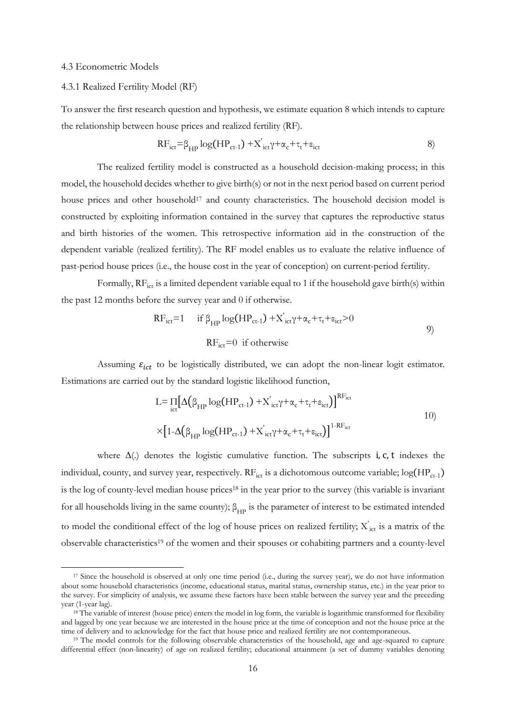#### <span id="page-19-0"></span>4.3 Econometric Models

#### <span id="page-19-1"></span>4.3.1 Realized Fertility Model (RF)

To answer the first research question and hypothesis, we estimate equation 8 which intends to capture the relationship between house prices and realized fertility (RF).

$$
RF_{ict} = \beta_{HP} \log(HP_{ct-1}) + X'_{ict} \gamma + \alpha_c + \tau_t + \epsilon_{ict}
$$
 (8)

The realized fertility model is constructed as a household decision-making process; in this model, the household decides whether to give birth(s) or not in the next period based on current period house prices and other household<sup>17</sup> and county characteristics. The household decision model is constructed by exploiting information contained in the survey that captures the reproductive status and birth histories of the women. This retrospective information aid in the construction of the dependent variable (realized fertility). The RF model enables us to evaluate the relative influence of past-period house prices (i.e., the house cost in the year of conception) on current-period fertility.

Formally,  $RF<sub>ict</sub>$  is a limited dependent variable equal to 1 if the household gave birth(s) within the past 12 months before the survey year and 0 if otherwise.

$$
RF_{ict}=1 \quad \text{if } \beta_{HP} \log(HP_{ct-1}) + X'_{ict} \gamma + \alpha_c + \tau_t + \epsilon_{ict} > 0
$$
  

$$
RF_{ict}=0 \text{ if otherwise}
$$

Assuming  $\varepsilon_{ict}$  to be logistically distributed, we can adopt the non-linear logit estimator. Estimations are carried out by the standard logistic likelihood function,

$$
L = \prod_{ict} \left[ \Delta \left( \beta_{HP} \log(HP_{ct-1}) + X'_{ict} \gamma + \alpha_c + \tau_t + \varepsilon_{ict} \right) \right]^{RF_{ict}}
$$
  
 
$$
\times \left[ 1 - \Delta \left( \beta_{HP} \log(HP_{ct-1}) + X'_{ict} \gamma + \alpha_c + \tau_t + \varepsilon_{ict} \right) \right]^{1-RF_{ict}}
$$
 (10)

where Δ(.) denotes the logistic cumulative function. The subscripts **i**, **c**, **t** indexes the individual, county, and survey year, respectively.  $\rm RF_{ict}$  is a dichotomous outcome variable; log(HP $_{\rm ct-1}$ ) is the log of county-level median house prices<sup>18</sup> in the year prior to the survey (this variable is invariant for all households living in the same county);  $\beta_{HP}$  is the parameter of interest to be estimated intended to model the conditional effect of the log of house prices on realized fertility;  $X_{ict}^{'}$  is a matrix of the observable characteristics<sup>19</sup> of the women and their spouses or cohabiting partners and a county-level

<sup>17</sup> Since the household is observed at only one time period (i.e., during the survey year), we do not have information about some household characteristics (income, educational status, marital status, ownership status, etc.) in the year prior to the survey. For simplicity of analysis, we assume these factors have been stable between the survey year and the preceding year (1-year lag).

<sup>&</sup>lt;sup>18</sup> The variable of interest (house price) enters the model in log form, the variable is logarithmic transformed for flexibility and lagged by one year because we are interested in the house price at the time of conception and not the house price at the time of delivery and to acknowledge for the fact that house price and realized fertility are not contemporaneous.

<sup>19</sup> The model controls for the following observable characteristics of the household, age and age-squared to capture differential effect (non-linearity) of age on realized fertility; educational attainment (a set of dummy variables denoting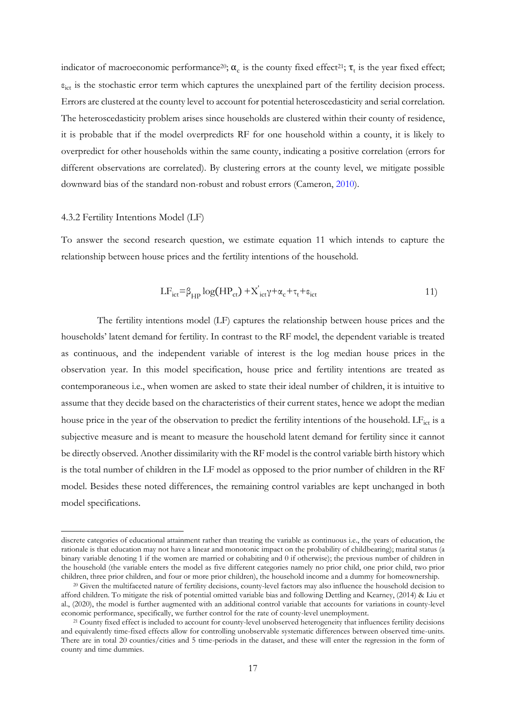indicator of macroeconomic performance<sup>20</sup>;  $\alpha_c$  is the county fixed effect<sup>21</sup>;  $\tau_t$  is the year fixed effect;  $\varepsilon_{\text{ict}}$  is the stochastic error term which captures the unexplained part of the fertility decision process. Errors are clustered at the county level to account for potential heteroscedasticity and serial correlation. The heteroscedasticity problem arises since households are clustered within their county of residence, it is probable that if the model overpredicts RF for one household within a county, it is likely to overpredict for other households within the same county, indicating a positive correlation (errors for different observations are correlated). By clustering errors at the county level, we mitigate possible downward bias of the standard non-robust and robust errors (Cameron, [2010\)](#page-36-11).

#### <span id="page-20-0"></span>4.3.2 Fertility Intentions Model (LF)

To answer the second research question, we estimate equation 11 which intends to capture the relationship between house prices and the fertility intentions of the household.

$$
LF_{ict} = \beta_{HP} \log(HP_{ct}) + X'_{ict} \gamma + \alpha_c + \tau_t + \epsilon_{ict}
$$
 (11)

The fertility intentions model (LF) captures the relationship between house prices and the households' latent demand for fertility. In contrast to the RF model, the dependent variable is treated as continuous, and the independent variable of interest is the log median house prices in the observation year. In this model specification, house price and fertility intentions are treated as contemporaneous i.e., when women are asked to state their ideal number of children, it is intuitive to assume that they decide based on the characteristics of their current states, hence we adopt the median house price in the year of the observation to predict the fertility intentions of the household. LF<sub>ict</sub> is a subjective measure and is meant to measure the household latent demand for fertility since it cannot be directly observed. Another dissimilarity with the RF model is the control variable birth history which is the total number of children in the LF model as opposed to the prior number of children in the RF model. Besides these noted differences, the remaining control variables are kept unchanged in both model specifications.

discrete categories of educational attainment rather than treating the variable as continuous i.e., the years of education, the rationale is that education may not have a linear and monotonic impact on the probability of childbearing); marital status (a binary variable denoting 1 if the women are married or cohabiting and 0 if otherwise); the previous number of children in the household (the variable enters the model as five different categories namely no prior child, one prior child, two prior children, three prior children, and four or more prior children), the household income and a dummy for homeownership.

<sup>20</sup> Given the multifaceted nature of fertility decisions, county-level factors may also influence the household decision to afford children. To mitigate the risk of potential omitted variable bias and following Dettling and Kearney, (2014) & Liu et al., (2020), the model is further augmented with an additional control variable that accounts for variations in county-level economic performance, specifically, we further control for the rate of county-level unemployment.

<sup>21</sup> County fixed effect is included to account for county-level unobserved heterogeneity that influences fertility decisions and equivalently time-fixed effects allow for controlling unobservable systematic differences between observed time-units. There are in total 20 counties/cities and 5 time-periods in the dataset, and these will enter the regression in the form of county and time dummies.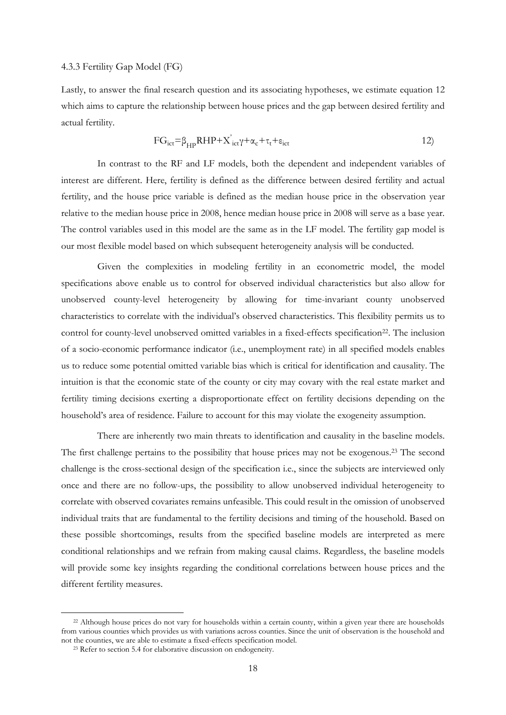#### <span id="page-21-0"></span>4.3.3 Fertility Gap Model (FG)

Lastly, to answer the final research question and its associating hypotheses, we estimate equation 12 which aims to capture the relationship between house prices and the gap between desired fertility and actual fertility.

$$
FG_{ict} = \beta_{HP} RHP + X'_{ict} \gamma + \alpha_c + \tau_t + \epsilon_{ict}
$$
 (12)

In contrast to the RF and LF models, both the dependent and independent variables of interest are different. Here, fertility is defined as the difference between desired fertility and actual fertility, and the house price variable is defined as the median house price in the observation year relative to the median house price in 2008, hence median house price in 2008 will serve as a base year. The control variables used in this model are the same as in the LF model. The fertility gap model is our most flexible model based on which subsequent heterogeneity analysis will be conducted.

Given the complexities in modeling fertility in an econometric model, the model specifications above enable us to control for observed individual characteristics but also allow for unobserved county-level heterogeneity by allowing for time-invariant county unobserved characteristics to correlate with the individual's observed characteristics. This flexibility permits us to control for county-level unobserved omitted variables in a fixed-effects specification<sup>22</sup>. The inclusion of a socio-economic performance indicator (i.e., unemployment rate) in all specified models enables us to reduce some potential omitted variable bias which is critical for identification and causality. The intuition is that the economic state of the county or city may covary with the real estate market and fertility timing decisions exerting a disproportionate effect on fertility decisions depending on the household's area of residence. Failure to account for this may violate the exogeneity assumption.

<span id="page-21-1"></span>There are inherently two main threats to identification and causality in the baseline models. The first challenge pertains to the possibility that house prices may not be exogenous.<sup>23</sup> The second challenge is the cross-sectional design of the specification i.e., since the subjects are interviewed only once and there are no follow-ups, the possibility to allow unobserved individual heterogeneity to correlate with observed covariates remains unfeasible. This could result in the omission of unobserved individual traits that are fundamental to the fertility decisions and timing of the household. Based on these possible shortcomings, results from the specified baseline models are interpreted as mere conditional relationships and we refrain from making causal claims. Regardless, the baseline models will provide some key insights regarding the conditional correlations between house prices and the different fertility measures.

<sup>22</sup> Although house prices do not vary for households within a certain county, within a given year there are households from various counties which provides us with variations across counties. Since the unit of observation is the household and not the counties, we are able to estimate a fixed-effects specification model.

<sup>23</sup> Refer to section 5.4 for elaborative discussion on endogeneity.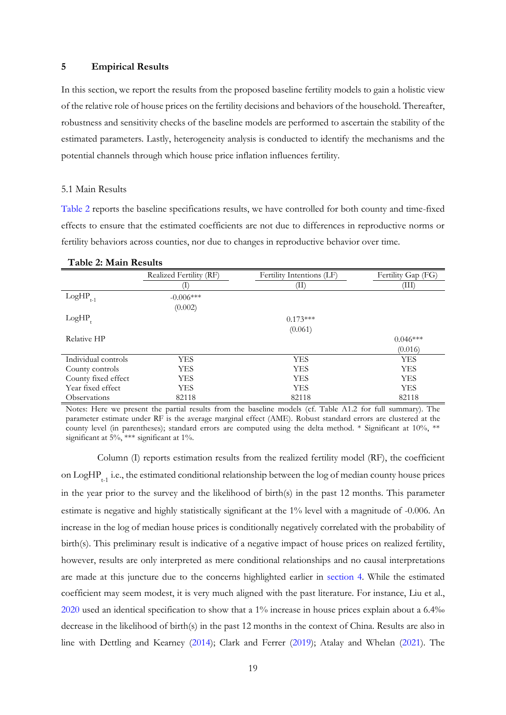#### <span id="page-22-0"></span>**5 Empirical Results**

In this section, we report the results from the proposed baseline fertility models to gain a holistic view of the relative role of house prices on the fertility decisions and behaviors of the household. Thereafter, robustness and sensitivity checks of the baseline models are performed to ascertain the stability of the estimated parameters. Lastly, heterogeneity analysis is conducted to identify the mechanisms and the potential channels through which house price inflation influences fertility.

#### <span id="page-22-1"></span>5.1 Main Results

[Table 2](#page-22-2) reports the baseline specifications results, we have controlled for both county and time-fixed effects to ensure that the estimated coefficients are not due to differences in reproductive norms or fertility behaviors across counties, nor due to changes in reproductive behavior over time.

|                     | Realized Fertility (RF) | Fertility Intentions (LF) | Fertility Gap (FG) |
|---------------------|-------------------------|---------------------------|--------------------|
|                     | Τ,                      | Œ.                        | (III)              |
| LogHP<br>$t-1$      | $-0.006***$             |                           |                    |
|                     | (0.002)                 |                           |                    |
| LogHP               |                         | $0.173***$                |                    |
|                     |                         | (0.061)                   |                    |
| Relative HP         |                         |                           | $0.046***$         |
|                     |                         |                           | (0.016)            |
| Individual controls | <b>YES</b>              | <b>YES</b>                | <b>YES</b>         |
| County controls     | YES                     | <b>YES</b>                | <b>YES</b>         |
| County fixed effect | YES                     | <b>YES</b>                | <b>YES</b>         |
| Year fixed effect   | YES                     | <b>YES</b>                | <b>YES</b>         |
| <b>Observations</b> | 82118                   | 82118                     | 82118              |

#### <span id="page-22-2"></span>**Table 2: Main Results**

Notes: Here we present the partial results from the baseline models (cf. Table A1.2 for full summary). The parameter estimate under RF is the average marginal effect (AME). Robust standard errors are clustered at the county level (in parentheses); standard errors are computed using the delta method. \* Significant at 10%, \*\* significant at 5%, \*\*\* significant at 1%.

Column (I) reports estimation results from the realized fertility model (RF), the coefficient on LogHP<sub>t-1</sub> i.e., the estimated conditional relationship between the log of median county house prices in the year prior to the survey and the likelihood of birth(s) in the past 12 months. This parameter estimate is negative and highly statistically significant at the 1% level with a magnitude of -0.006. An increase in the log of median house prices is conditionally negatively correlated with the probability of birth(s). This preliminary result is indicative of a negative impact of house prices on realized fertility, however, results are only interpreted as mere conditional relationships and no causal interpretations are made at this juncture due to the concerns highlighted earlier in [section 4.](#page-21-1) While the estimated coefficient may seem modest, it is very much aligned with the past literature. For instance, Liu et al., [2020](#page-37-6) used an identical specification to show that a 1% increase in house prices explain about a 6.4‰ decrease in the likelihood of birth(s) in the past 12 months in the context of China. Results are also in line with Dettling and Kearney [\(2014\)](#page-36-5); Clark and Ferrer [\(2019\)](#page-36-6); Atalay and Whelan [\(2021\)](#page-36-7). The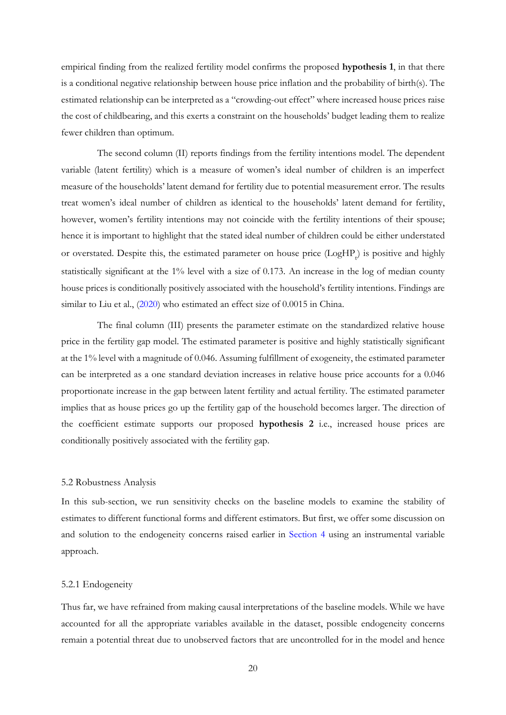empirical finding from the realized fertility model confirms the proposed **hypothesis 1**, in that there is a conditional negative relationship between house price inflation and the probability of birth(s). The estimated relationship can be interpreted as a "crowding-out effect" where increased house prices raise the cost of childbearing, and this exerts a constraint on the households' budget leading them to realize fewer children than optimum.

The second column (II) reports findings from the fertility intentions model. The dependent variable (latent fertility) which is a measure of women's ideal number of children is an imperfect measure of the households' latent demand for fertility due to potential measurement error. The results treat women's ideal number of children as identical to the households' latent demand for fertility, however, women's fertility intentions may not coincide with the fertility intentions of their spouse; hence it is important to highlight that the stated ideal number of children could be either understated or overstated. Despite this, the estimated parameter on house price  $(LogHP_t)$  is positive and highly statistically significant at the 1% level with a size of 0.173. An increase in the log of median county house prices is conditionally positively associated with the household's fertility intentions. Findings are similar to Liu et al., [\(2020\)](#page-37-6) who estimated an effect size of 0.0015 in China.

The final column (III) presents the parameter estimate on the standardized relative house price in the fertility gap model. The estimated parameter is positive and highly statistically significant at the 1% level with a magnitude of 0.046. Assuming fulfillment of exogeneity, the estimated parameter can be interpreted as a one standard deviation increases in relative house price accounts for a 0.046 proportionate increase in the gap between latent fertility and actual fertility. The estimated parameter implies that as house prices go up the fertility gap of the household becomes larger. The direction of the coefficient estimate supports our proposed **hypothesis 2** i.e., increased house prices are conditionally positively associated with the fertility gap.

#### <span id="page-23-0"></span>5.2 Robustness Analysis

In this sub-section, we run sensitivity checks on the baseline models to examine the stability of estimates to different functional forms and different estimators. But first, we offer some discussion on and solution to the endogeneity concerns raised earlier in [Section 4](#page-21-1) using an instrumental variable approach.

#### <span id="page-23-1"></span>5.2.1 Endogeneity

Thus far, we have refrained from making causal interpretations of the baseline models. While we have accounted for all the appropriate variables available in the dataset, possible endogeneity concerns remain a potential threat due to unobserved factors that are uncontrolled for in the model and hence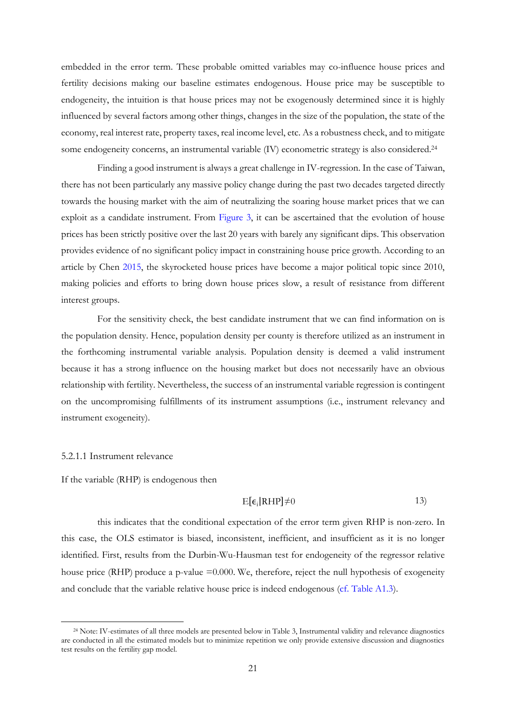embedded in the error term. These probable omitted variables may co-influence house prices and fertility decisions making our baseline estimates endogenous. House price may be susceptible to endogeneity, the intuition is that house prices may not be exogenously determined since it is highly influenced by several factors among other things, changes in the size of the population, the state of the economy, real interest rate, property taxes, real income level, etc. As a robustness check, and to mitigate some endogeneity concerns, an instrumental variable (IV) econometric strategy is also considered.<sup>24</sup>

Finding a good instrument is always a great challenge in IV-regression. In the case of Taiwan, there has not been particularly any massive policy change during the past two decades targeted directly towards the housing market with the aim of neutralizing the soaring house market prices that we can exploit as a candidate instrument. From [Figure 3,](#page-6-0) it can be ascertained that the evolution of house prices has been strictly positive over the last 20 years with barely any significant dips. This observation provides evidence of no significant policy impact in constraining house price growth. According to an article by Chen [2015,](#page-36-12) the skyrocketed house prices have become a major political topic since 2010, making policies and efforts to bring down house prices slow, a result of resistance from different interest groups.

For the sensitivity check, the best candidate instrument that we can find information on is the population density. Hence, population density per county is therefore utilized as an instrument in the forthcoming instrumental variable analysis. Population density is deemed a valid instrument because it has a strong influence on the housing market but does not necessarily have an obvious relationship with fertility. Nevertheless, the success of an instrumental variable regression is contingent on the uncompromising fulfillments of its instrument assumptions (i.e., instrument relevancy and instrument exogeneity).

#### <span id="page-24-0"></span>5.2.1.1 Instrument relevance

If the variable (RHP) is endogenous then

## $E[\epsilon_i|RHP]\neq 0$  13)

this indicates that the conditional expectation of the error term given RHP is non-zero. In this case, the OLS estimator is biased, inconsistent, inefficient, and insufficient as it is no longer identified. First, results from the Durbin-Wu-Hausman test for endogeneity of the regressor relative house price (RHP) produce a p-value =0.000. We, therefore, reject the null hypothesis of exogeneity and conclude that the variable relative house price is indeed endogenous [\(cf. Table A1.3\)](#page-41-0).

<sup>24</sup> Note: IV-estimates of all three models are presented below in Table 3, Instrumental validity and relevance diagnostics are conducted in all the estimated models but to minimize repetition we only provide extensive discussion and diagnostics test results on the fertility gap model.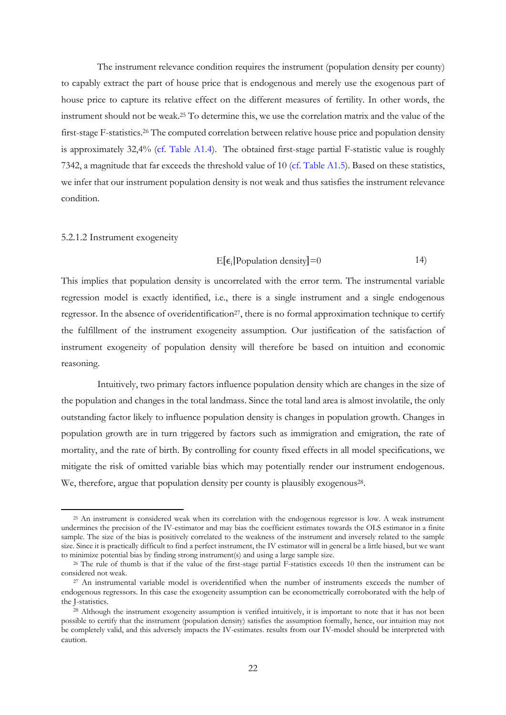The instrument relevance condition requires the instrument (population density per county) to capably extract the part of house price that is endogenous and merely use the exogenous part of house price to capture its relative effect on the different measures of fertility. In other words, the instrument should not be weak.<sup>25</sup> To determine this, we use the correlation matrix and the value of the first-stage F-statistics.<sup>26</sup> The computed correlation between relative house price and population density is approximately 32,4% [\(cf. Table A1.4\)](#page-41-1). The obtained first-stage partial F-statistic value is roughly 7342, a magnitude that far exceeds the threshold value of 10 [\(cf. Table A1.5\)](#page-41-2). Based on these statistics, we infer that our instrument population density is not weak and thus satisfies the instrument relevance condition.

#### <span id="page-25-0"></span>5.2.1.2 Instrument exogeneity

$$
E[\epsilon_i] Population density] = 0
$$

This implies that population density is uncorrelated with the error term. The instrumental variable regression model is exactly identified, i.e., there is a single instrument and a single endogenous regressor. In the absence of overidentification<sup>27</sup>, there is no formal approximation technique to certify the fulfillment of the instrument exogeneity assumption. Our justification of the satisfaction of instrument exogeneity of population density will therefore be based on intuition and economic reasoning.

Intuitively, two primary factors influence population density which are changes in the size of the population and changes in the total landmass. Since the total land area is almost involatile, the only outstanding factor likely to influence population density is changes in population growth. Changes in population growth are in turn triggered by factors such as immigration and emigration, the rate of mortality, and the rate of birth. By controlling for county fixed effects in all model specifications, we mitigate the risk of omitted variable bias which may potentially render our instrument endogenous. We, therefore, argue that population density per county is plausibly exogenous<sup>28</sup>.

<sup>&</sup>lt;sup>25</sup> An instrument is considered weak when its correlation with the endogenous regressor is low. A weak instrument undermines the precision of the IV-estimator and may bias the coefficient estimates towards the OLS estimator in a finite sample. The size of the bias is positively correlated to the weakness of the instrument and inversely related to the sample size. Since it is practically difficult to find a perfect instrument, the IV estimator will in general be a little biased, but we want to minimize potential bias by finding strong instrument(s) and using a large sample size.

<sup>26</sup> The rule of thumb is that if the value of the first-stage partial F-statistics exceeds 10 then the instrument can be considered not weak.

<sup>27</sup> An instrumental variable model is overidentified when the number of instruments exceeds the number of endogenous regressors. In this case the exogeneity assumption can be econometrically corroborated with the help of the J-statistics.

<sup>&</sup>lt;sup>28</sup> Although the instrument exogeneity assumption is verified intuitively, it is important to note that it has not been possible to certify that the instrument (population density) satisfies the assumption formally, hence, our intuition may not be completely valid, and this adversely impacts the IV-estimates. results from our IV-model should be interpreted with caution.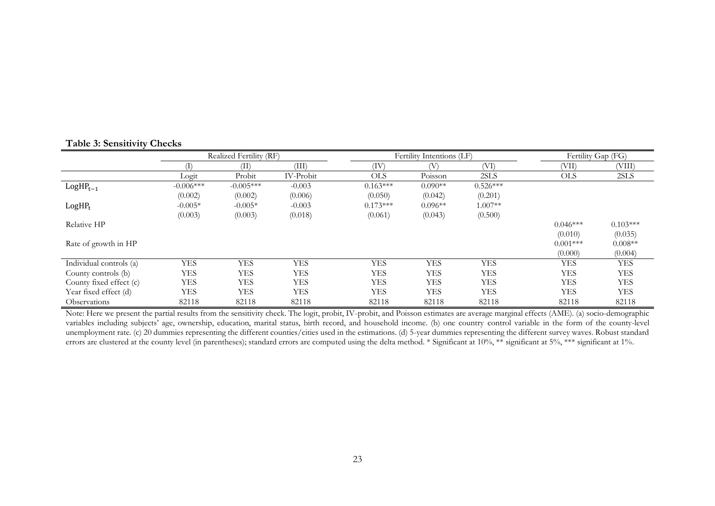|                         |             | Realized Fertility (RF) |            |            | Fertility Intentions (LF) |            | Fertility Gap (FG) |            |
|-------------------------|-------------|-------------------------|------------|------------|---------------------------|------------|--------------------|------------|
|                         |             | (II)                    | (III)      | (IV)       |                           | (VI)       | (VII)              | (VIII)     |
|                         | Logit       | Probit                  | IV-Probit  | <b>OLS</b> | Poisson                   | 2SLS       | <b>OLS</b>         | 2SLS       |
| $LogHP_{t-1}$           | $-0.006***$ | $-0.005***$             | $-0.003$   | $0.163***$ | $0.090**$                 | $0.526***$ |                    |            |
|                         | (0.002)     | (0.002)                 | (0.006)    | (0.050)    | (0.042)                   | (0.201)    |                    |            |
| $LogHP_t$               | $-0.005*$   | $-0.005*$               | $-0.003$   | $0.173***$ | $0.096**$                 | $1.007**$  |                    |            |
|                         | (0.003)     | (0.003)                 | (0.018)    | (0.061)    | (0.043)                   | (0.500)    |                    |            |
| Relative HP             |             |                         |            |            |                           |            | $0.046***$         | $0.103***$ |
|                         |             |                         |            |            |                           |            | (0.010)            | (0.035)    |
| Rate of growth in HP    |             |                         |            |            |                           |            | $0.001***$         | $0.008**$  |
|                         |             |                         |            |            |                           |            | (0.000)            | (0.004)    |
| Individual controls (a) | <b>YES</b>  | <b>YES</b>              | <b>YES</b> | <b>YES</b> | <b>YES</b>                | <b>YES</b> | YES                | <b>YES</b> |
| County controls (b)     | <b>YES</b>  | <b>YES</b>              | <b>YES</b> | <b>YES</b> | <b>YES</b>                | <b>YES</b> | <b>YES</b>         | <b>YES</b> |
| County fixed effect (c) | <b>YES</b>  | YES                     | <b>YES</b> | <b>YES</b> | <b>YES</b>                | <b>YES</b> | <b>YES</b>         | <b>YES</b> |
| Year fixed effect (d)   | YES         | YES                     | <b>YES</b> | <b>YES</b> | <b>YES</b>                | <b>YES</b> | <b>YES</b>         | YES        |
| <b>Observations</b>     | 82118       | 82118                   | 82118      | 82118      | 82118                     | 82118      | 82118              | 82118      |

<span id="page-26-0"></span>Note: Here we present the partial results from the sensitivity check. The logit, probit, IV-probit, and Poisson estimates are average marginal effects (AME). (a) socio-demographic variables including subjects' age, ownership, education, marital status, birth record, and household income. (b) one country control variable in the form of the county-level unemployment rate. (c) 20 dummies representing the different counties/cities used in the estimations. (d) 5-year dummies representing the different survey waves. Robust standard errors are clustered at the county level (in parentheses); standard errors are computed using the delta method. \* Significant at 10%, \*\* significant at 5%, \*\*\* significant at 1%.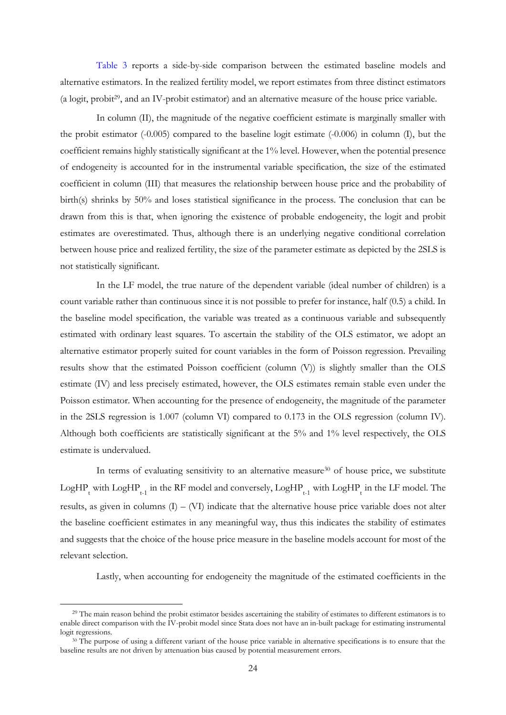[Table 3](#page-26-0) reports a side-by-side comparison between the estimated baseline models and alternative estimators. In the realized fertility model, we report estimates from three distinct estimators (a logit, probit29, and an IV-probit estimator) and an alternative measure of the house price variable.

In column (II), the magnitude of the negative coefficient estimate is marginally smaller with the probit estimator (-0.005) compared to the baseline logit estimate (-0.006) in column (I), but the coefficient remains highly statistically significant at the 1% level. However, when the potential presence of endogeneity is accounted for in the instrumental variable specification, the size of the estimated coefficient in column (III) that measures the relationship between house price and the probability of birth(s) shrinks by 50% and loses statistical significance in the process. The conclusion that can be drawn from this is that, when ignoring the existence of probable endogeneity, the logit and probit estimates are overestimated. Thus, although there is an underlying negative conditional correlation between house price and realized fertility, the size of the parameter estimate as depicted by the 2SLS is not statistically significant.

In the LF model, the true nature of the dependent variable (ideal number of children) is a count variable rather than continuous since it is not possible to prefer for instance, half (0.5) a child. In the baseline model specification, the variable was treated as a continuous variable and subsequently estimated with ordinary least squares. To ascertain the stability of the OLS estimator, we adopt an alternative estimator properly suited for count variables in the form of Poisson regression. Prevailing results show that the estimated Poisson coefficient (column (V)) is slightly smaller than the OLS estimate (IV) and less precisely estimated, however, the OLS estimates remain stable even under the Poisson estimator. When accounting for the presence of endogeneity, the magnitude of the parameter in the 2SLS regression is 1.007 (column VI) compared to 0.173 in the OLS regression (column IV). Although both coefficients are statistically significant at the 5% and 1% level respectively, the OLS estimate is undervalued.

In terms of evaluating sensitivity to an alternative measure<sup>30</sup> of house price, we substitute  $\rm LogHP_{t}$  with  $\rm LogHP_{t-1}$  in the RF model and conversely,  $\rm LogHP_{t-1}$  with  $\rm LogHP_{t}$  in the LF model. The results, as given in columns  $(I) - (VI)$  indicate that the alternative house price variable does not alter the baseline coefficient estimates in any meaningful way, thus this indicates the stability of estimates and suggests that the choice of the house price measure in the baseline models account for most of the relevant selection.

Lastly, when accounting for endogeneity the magnitude of the estimated coefficients in the

<sup>&</sup>lt;sup>29</sup> The main reason behind the probit estimator besides ascertaining the stability of estimates to different estimators is to enable direct comparison with the IV-probit model since Stata does not have an in-built package for estimating instrumental logit regressions.

<sup>&</sup>lt;sup>30</sup> The purpose of using a different variant of the house price variable in alternative specifications is to ensure that the baseline results are not driven by attenuation bias caused by potential measurement errors.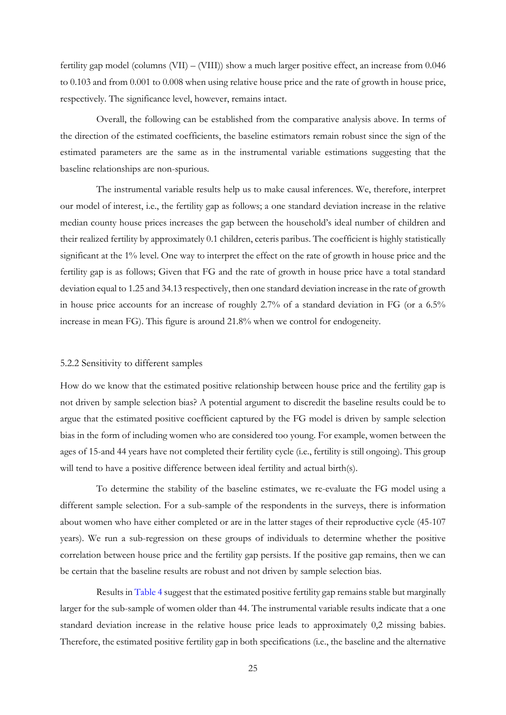fertility gap model (columns (VII) – (VIII)) show a much larger positive effect, an increase from 0.046 to 0.103 and from 0.001 to 0.008 when using relative house price and the rate of growth in house price, respectively. The significance level, however, remains intact.

Overall, the following can be established from the comparative analysis above. In terms of the direction of the estimated coefficients, the baseline estimators remain robust since the sign of the estimated parameters are the same as in the instrumental variable estimations suggesting that the baseline relationships are non-spurious.

The instrumental variable results help us to make causal inferences. We, therefore, interpret our model of interest, i.e., the fertility gap as follows; a one standard deviation increase in the relative median county house prices increases the gap between the household's ideal number of children and their realized fertility by approximately 0.1 children, ceteris paribus. The coefficient is highly statistically significant at the 1% level. One way to interpret the effect on the rate of growth in house price and the fertility gap is as follows; Given that FG and the rate of growth in house price have a total standard deviation equal to 1.25 and 34.13 respectively, then one standard deviation increase in the rate of growth in house price accounts for an increase of roughly 2.7% of a standard deviation in FG (or a 6.5% increase in mean FG). This figure is around 21.8% when we control for endogeneity.

#### <span id="page-28-0"></span>5.2.2 Sensitivity to different samples

How do we know that the estimated positive relationship between house price and the fertility gap is not driven by sample selection bias? A potential argument to discredit the baseline results could be to argue that the estimated positive coefficient captured by the FG model is driven by sample selection bias in the form of including women who are considered too young. For example, women between the ages of 15-and 44 years have not completed their fertility cycle (i.e., fertility is still ongoing). This group will tend to have a positive difference between ideal fertility and actual birth(s).

To determine the stability of the baseline estimates, we re-evaluate the FG model using a different sample selection. For a sub-sample of the respondents in the surveys, there is information about women who have either completed or are in the latter stages of their reproductive cycle (45-107 years). We run a sub-regression on these groups of individuals to determine whether the positive correlation between house price and the fertility gap persists. If the positive gap remains, then we can be certain that the baseline results are robust and not driven by sample selection bias.

Results i[n Table 4](#page-29-2) suggest that the estimated positive fertility gap remains stable but marginally larger for the sub-sample of women older than 44. The instrumental variable results indicate that a one standard deviation increase in the relative house price leads to approximately 0,2 missing babies. Therefore, the estimated positive fertility gap in both specifications (i.e., the baseline and the alternative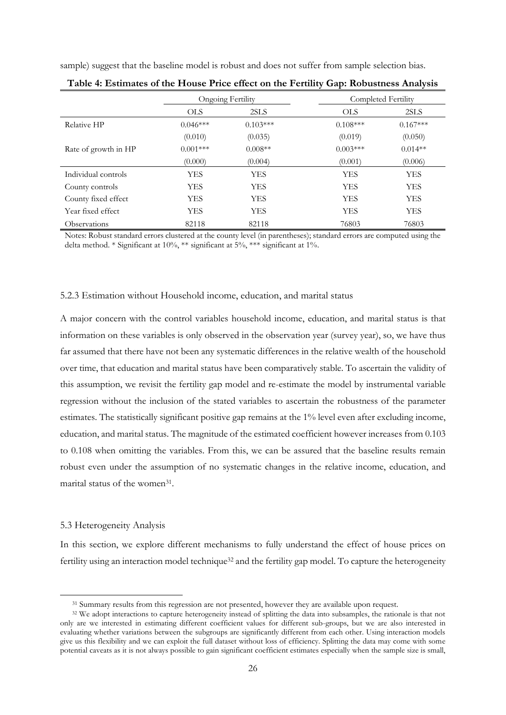|  |  |  |  | sample) suggest that the baseline model is robust and does not suffer from sample selection bias. |  |
|--|--|--|--|---------------------------------------------------------------------------------------------------|--|
|  |  |  |  |                                                                                                   |  |

|                      |            | Ongoing Fertility | Completed Fertility |            |
|----------------------|------------|-------------------|---------------------|------------|
|                      | <b>OLS</b> | 2SLS              | <b>OLS</b>          | 2SLS       |
| Relative HP          | $0.046***$ | $0.103***$        | $0.108***$          | $0.167***$ |
|                      | (0.010)    | (0.035)           | (0.019)             | (0.050)    |
| Rate of growth in HP | $0.001***$ | $0.008**$         | $0.003***$          | $0.014**$  |
|                      | (0.000)    | (0.004)           | (0.001)             | (0.006)    |
| Individual controls  | YES        | <b>YES</b>        | YES                 | <b>YES</b> |
| County controls      | <b>YES</b> | <b>YES</b>        | <b>YES</b>          | <b>YES</b> |
| County fixed effect  | YES        | <b>YES</b>        | YES                 | <b>YES</b> |
| Year fixed effect    | YES        | <b>YES</b>        | YES                 | <b>YES</b> |
| <b>Observations</b>  | 82118      | 82118             | 76803               | 76803      |

<span id="page-29-2"></span>

| Table 4: Estimates of the House Price effect on the Fertility Gap: Robustness Analysis |  |  |  |  |
|----------------------------------------------------------------------------------------|--|--|--|--|
|                                                                                        |  |  |  |  |

Notes: Robust standard errors clustered at the county level (in parentheses); standard errors are computed using the delta method. \* Significant at 10%, \*\* significant at 5%, \*\*\* significant at 1%.

#### <span id="page-29-0"></span>5.2.3 Estimation without Household income, education, and marital status

A major concern with the control variables household income, education, and marital status is that information on these variables is only observed in the observation year (survey year), so, we have thus far assumed that there have not been any systematic differences in the relative wealth of the household over time, that education and marital status have been comparatively stable. To ascertain the validity of this assumption, we revisit the fertility gap model and re-estimate the model by instrumental variable regression without the inclusion of the stated variables to ascertain the robustness of the parameter estimates. The statistically significant positive gap remains at the 1% level even after excluding income, education, and marital status. The magnitude of the estimated coefficient however increases from 0.103 to 0.108 when omitting the variables. From this, we can be assured that the baseline results remain robust even under the assumption of no systematic changes in the relative income, education, and marital status of the women<sup>31</sup>.

#### <span id="page-29-1"></span>5.3 Heterogeneity Analysis

In this section, we explore different mechanisms to fully understand the effect of house prices on fertility using an interaction model technique<sup>32</sup> and the fertility gap model. To capture the heterogeneity

<sup>&</sup>lt;sup>31</sup> Summary results from this regression are not presented, however they are available upon request.

<sup>32</sup> We adopt interactions to capture heterogeneity instead of splitting the data into subsamples, the rationale is that not only are we interested in estimating different coefficient values for different sub-groups, but we are also interested in evaluating whether variations between the subgroups are significantly different from each other. Using interaction models give us this flexibility and we can exploit the full dataset without loss of efficiency. Splitting the data may come with some potential caveats as it is not always possible to gain significant coefficient estimates especially when the sample size is small,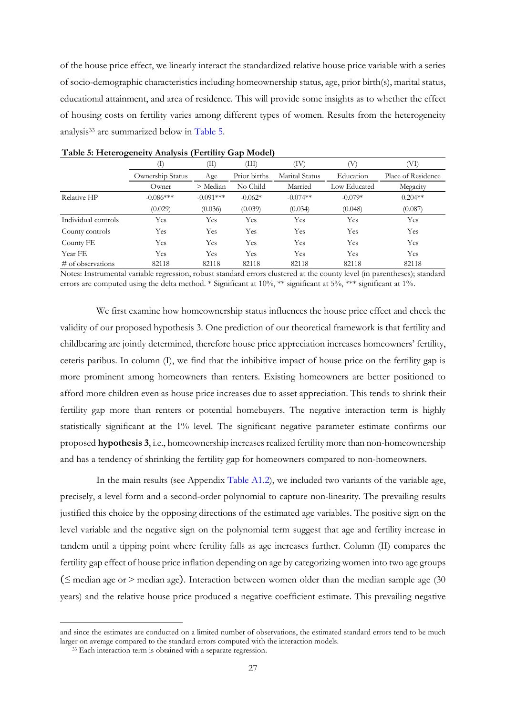of the house price effect, we linearly interact the standardized relative house price variable with a series of socio-demographic characteristics including homeownership status, age, prior birth(s), marital status, educational attainment, and area of residence. This will provide some insights as to whether the effect of housing costs on fertility varies among different types of women. Results from the heterogeneity analysis<sup>33</sup> are summarized below in [Table 5.](#page-30-0)

|                      | (I)              | (II)        | (III)        | (IV)           |              | (VI)               |
|----------------------|------------------|-------------|--------------|----------------|--------------|--------------------|
|                      | Ownership Status | Age         | Prior births | Marital Status | Education    | Place of Residence |
|                      | Owner            | > Median    | No Child     | Married        | Low Educated | Megacity           |
| Relative HP          | $-0.086***$      | $-0.091***$ | $-0.062*$    | $-0.074**$     | $-0.079*$    | $0.204**$          |
|                      | (0.029)          | (0.036)     | (0.039)      | (0.034)        | (0.048)      | (0.087)            |
| Individual controls  | Yes              | Yes         | Yes          | Yes            | Yes          | Yes                |
| County controls      | Yes              | Yes         | Yes          | Yes            | Yes          | Yes                |
| County FE            | Yes              | Yes         | Yes          | Yes            | Yes          | Yes                |
| Year FE              | Yes              | Yes         | Yes          | Yes            | Yes          | Yes                |
| $\#$ of observations | 82118            | 82118       | 82118        | 82118          | 82118        | 82118              |

#### <span id="page-30-0"></span>**Table 5: Heterogeneity Analysis (Fertility Gap Model)**

Notes: Instrumental variable regression, robust standard errors clustered at the county level (in parentheses); standard errors are computed using the delta method. \* Significant at 10%, \*\* significant at 5%, \*\*\* significant at 1%.

We first examine how homeownership status influences the house price effect and check the validity of our proposed hypothesis 3. One prediction of our theoretical framework is that fertility and childbearing are jointly determined, therefore house price appreciation increases homeowners' fertility, ceteris paribus. In column (I), we find that the inhibitive impact of house price on the fertility gap is more prominent among homeowners than renters. Existing homeowners are better positioned to afford more children even as house price increases due to asset appreciation. This tends to shrink their fertility gap more than renters or potential homebuyers. The negative interaction term is highly statistically significant at the 1% level. The significant negative parameter estimate confirms our proposed **hypothesis 3**, i.e., homeownership increases realized fertility more than non-homeownership and has a tendency of shrinking the fertility gap for homeowners compared to non-homeowners.

In the main results (see Appendix [Table A1.2\)](#page-39-1), we included two variants of the variable age, precisely, a level form and a second-order polynomial to capture non-linearity. The prevailing results justified this choice by the opposing directions of the estimated age variables. The positive sign on the level variable and the negative sign on the polynomial term suggest that age and fertility increase in tandem until a tipping point where fertility falls as age increases further. Column (II) compares the fertility gap effect of house price inflation depending on age by categorizing women into two age groups ( $\leq$  median age or  $>$  median age). Interaction between women older than the median sample age (30) years) and the relative house price produced a negative coefficient estimate. This prevailing negative

and since the estimates are conducted on a limited number of observations, the estimated standard errors tend to be much larger on average compared to the standard errors computed with the interaction models.

<sup>33</sup> Each interaction term is obtained with a separate regression.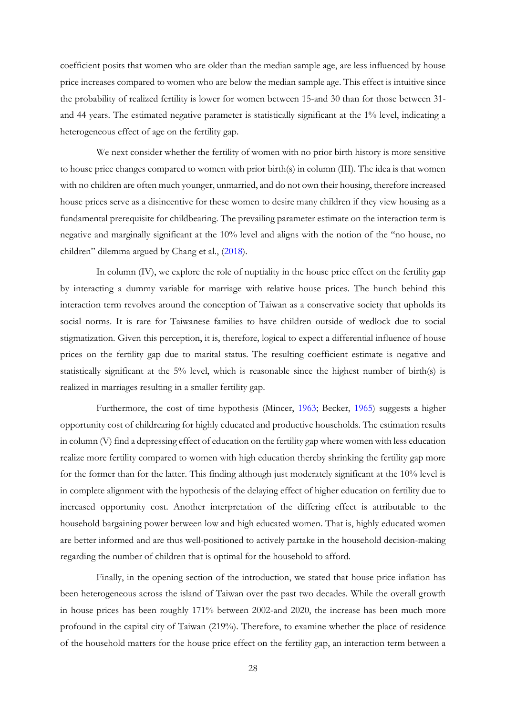coefficient posits that women who are older than the median sample age, are less influenced by house price increases compared to women who are below the median sample age. This effect is intuitive since the probability of realized fertility is lower for women between 15-and 30 than for those between 31 and 44 years. The estimated negative parameter is statistically significant at the 1% level, indicating a heterogeneous effect of age on the fertility gap.

We next consider whether the fertility of women with no prior birth history is more sensitive to house price changes compared to women with prior birth(s) in column (III). The idea is that women with no children are often much younger, unmarried, and do not own their housing, therefore increased house prices serve as a disincentive for these women to desire many children if they view housing as a fundamental prerequisite for childbearing. The prevailing parameter estimate on the interaction term is negative and marginally significant at the 10% level and aligns with the notion of the "no house, no children" dilemma argued by Chang et al., [\(2018\)](#page-36-2).

In column (IV), we explore the role of nuptiality in the house price effect on the fertility gap by interacting a dummy variable for marriage with relative house prices. The hunch behind this interaction term revolves around the conception of Taiwan as a conservative society that upholds its social norms. It is rare for Taiwanese families to have children outside of wedlock due to social stigmatization. Given this perception, it is, therefore, logical to expect a differential influence of house prices on the fertility gap due to marital status. The resulting coefficient estimate is negative and statistically significant at the 5% level, which is reasonable since the highest number of birth(s) is realized in marriages resulting in a smaller fertility gap.

Furthermore, the cost of time hypothesis (Mincer, [1963;](#page-37-2) Becker, [1965\)](#page-36-4) suggests a higher opportunity cost of childrearing for highly educated and productive households. The estimation results in column (V) find a depressing effect of education on the fertility gap where women with less education realize more fertility compared to women with high education thereby shrinking the fertility gap more for the former than for the latter. This finding although just moderately significant at the 10% level is in complete alignment with the hypothesis of the delaying effect of higher education on fertility due to increased opportunity cost. Another interpretation of the differing effect is attributable to the household bargaining power between low and high educated women. That is, highly educated women are better informed and are thus well-positioned to actively partake in the household decision-making regarding the number of children that is optimal for the household to afford.

Finally, in the opening section of the introduction, we stated that house price inflation has been heterogeneous across the island of Taiwan over the past two decades. While the overall growth in house prices has been roughly 171% between 2002-and 2020, the increase has been much more profound in the capital city of Taiwan (219%). Therefore, to examine whether the place of residence of the household matters for the house price effect on the fertility gap, an interaction term between a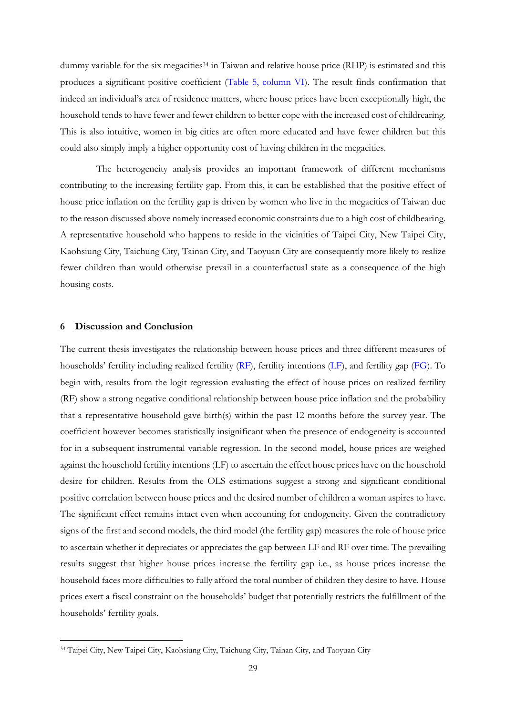dummy variable for the six megacities<sup>34</sup> in Taiwan and relative house price (RHP) is estimated and this produces a significant positive coefficient [\(Table 5, column VI\)](#page-30-0). The result finds confirmation that indeed an individual's area of residence matters, where house prices have been exceptionally high, the household tends to have fewer and fewer children to better cope with the increased cost of childrearing. This is also intuitive, women in big cities are often more educated and have fewer children but this could also simply imply a higher opportunity cost of having children in the megacities.

The heterogeneity analysis provides an important framework of different mechanisms contributing to the increasing fertility gap. From this, it can be established that the positive effect of house price inflation on the fertility gap is driven by women who live in the megacities of Taiwan due to the reason discussed above namely increased economic constraints due to a high cost of childbearing. A representative household who happens to reside in the vicinities of Taipei City, New Taipei City, Kaohsiung City, Taichung City, Tainan City, and Taoyuan City are consequently more likely to realize fewer children than would otherwise prevail in a counterfactual state as a consequence of the high housing costs.

#### <span id="page-32-0"></span>**6 Discussion and Conclusion**

The current thesis investigates the relationship between house prices and three different measures of households' fertility including realized fertility [\(RF\)](#page-19-1), fertility intentions [\(LF\)](#page-20-0), and fertility gap [\(FG\)](#page-21-0). To begin with, results from the logit regression evaluating the effect of house prices on realized fertility (RF) show a strong negative conditional relationship between house price inflation and the probability that a representative household gave birth(s) within the past 12 months before the survey year. The coefficient however becomes statistically insignificant when the presence of endogeneity is accounted for in a subsequent instrumental variable regression. In the second model, house prices are weighed against the household fertility intentions (LF) to ascertain the effect house prices have on the household desire for children. Results from the OLS estimations suggest a strong and significant conditional positive correlation between house prices and the desired number of children a woman aspires to have. The significant effect remains intact even when accounting for endogeneity. Given the contradictory signs of the first and second models, the third model (the fertility gap) measures the role of house price to ascertain whether it depreciates or appreciates the gap between LF and RF over time. The prevailing results suggest that higher house prices increase the fertility gap i.e., as house prices increase the household faces more difficulties to fully afford the total number of children they desire to have. House prices exert a fiscal constraint on the households' budget that potentially restricts the fulfillment of the households' fertility goals.

<sup>34</sup> Taipei City, New Taipei City, Kaohsiung City, Taichung City, Tainan City, and Taoyuan City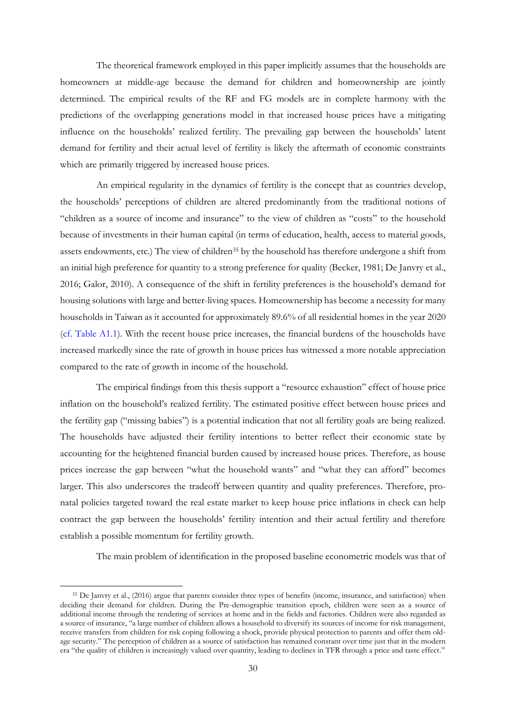The theoretical framework employed in this paper implicitly assumes that the households are homeowners at middle-age because the demand for children and homeownership are jointly determined. The empirical results of the RF and FG models are in complete harmony with the predictions of the overlapping generations model in that increased house prices have a mitigating influence on the households' realized fertility. The prevailing gap between the households' latent demand for fertility and their actual level of fertility is likely the aftermath of economic constraints which are primarily triggered by increased house prices.

An empirical regularity in the dynamics of fertility is the concept that as countries develop, the households' perceptions of children are altered predominantly from the traditional notions of "children as a source of income and insurance" to the view of children as "costs" to the household because of investments in their human capital (in terms of education, health, access to material goods, assets endowments, etc.) The view of children<sup>35</sup> by the household has therefore undergone a shift from an initial high preference for quantity to a strong preference for quality (Becker, 1981; De Janvry et al., 2016; Galor, 2010). A consequence of the shift in fertility preferences is the household's demand for housing solutions with large and better-living spaces. Homeownership has become a necessity for many households in Taiwan as it accounted for approximately 89.6% of all residential homes in the year 2020 [\(cf. Table A1.1\)](#page-39-0). With the recent house price increases, the financial burdens of the households have increased markedly since the rate of growth in house prices has witnessed a more notable appreciation compared to the rate of growth in income of the household.

The empirical findings from this thesis support a "resource exhaustion" effect of house price inflation on the household's realized fertility. The estimated positive effect between house prices and the fertility gap ("missing babies") is a potential indication that not all fertility goals are being realized. The households have adjusted their fertility intentions to better reflect their economic state by accounting for the heightened financial burden caused by increased house prices. Therefore, as house prices increase the gap between "what the household wants" and "what they can afford" becomes larger. This also underscores the tradeoff between quantity and quality preferences. Therefore, pronatal policies targeted toward the real estate market to keep house price inflations in check can help contract the gap between the households' fertility intention and their actual fertility and therefore establish a possible momentum for fertility growth.

The main problem of identification in the proposed baseline econometric models was that of

<sup>&</sup>lt;sup>35</sup> De Janvry et al., (2016) argue that parents consider three types of benefits (income, insurance, and satisfaction) when deciding their demand for children. During the Pre-demographic transition epoch, children were seen as a source of additional income through the rendering of services at home and in the fields and factories. Children were also regarded as a source of insurance, "a large number of children allows a household to diversify its sources of income for risk management, receive transfers from children for risk coping following a shock, provide physical protection to parents and offer them oldage security." The perception of children as a source of satisfaction has remained constant over time just that in the modern era "the quality of children is increasingly valued over quantity, leading to declines in TFR through a price and taste effect."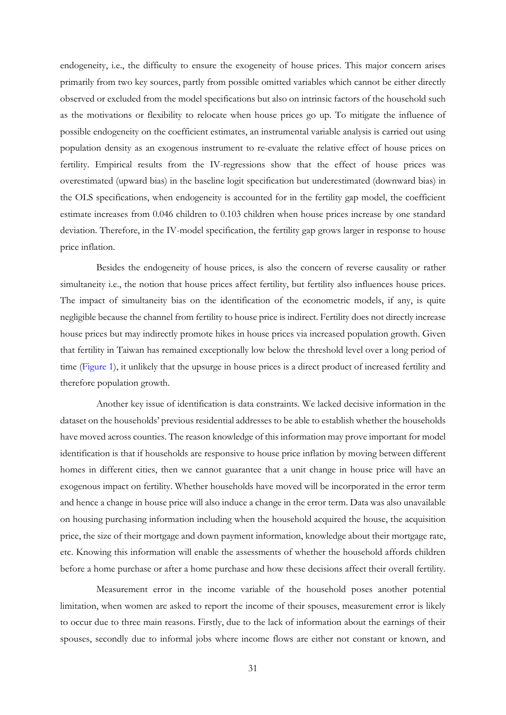endogeneity, i.e., the difficulty to ensure the exogeneity of house prices. This major concern arises primarily from two key sources, partly from possible omitted variables which cannot be either directly observed or excluded from the model specifications but also on intrinsic factors of the household such as the motivations or flexibility to relocate when house prices go up. To mitigate the influence of possible endogeneity on the coefficient estimates, an instrumental variable analysis is carried out using population density as an exogenous instrument to re-evaluate the relative effect of house prices on fertility. Empirical results from the IV-regressions show that the effect of house prices was overestimated (upward bias) in the baseline logit specification but underestimated (downward bias) in the OLS specifications, when endogeneity is accounted for in the fertility gap model, the coefficient estimate increases from 0.046 children to 0.103 children when house prices increase by one standard deviation. Therefore, in the IV-model specification, the fertility gap grows larger in response to house price inflation.

Besides the endogeneity of house prices, is also the concern of reverse causality or rather simultaneity i.e., the notion that house prices affect fertility, but fertility also influences house prices. The impact of simultaneity bias on the identification of the econometric models, if any, is quite negligible because the channel from fertility to house price is indirect. Fertility does not directly increase house prices but may indirectly promote hikes in house prices via increased population growth. Given that fertility in Taiwan has remained exceptionally low below the threshold level over a long period of time [\(Figure 1\)](#page-4-1), it unlikely that the upsurge in house prices is a direct product of increased fertility and therefore population growth.

Another key issue of identification is data constraints. We lacked decisive information in the dataset on the households' previous residential addresses to be able to establish whether the households have moved across counties. The reason knowledge of this information may prove important for model identification is that if households are responsive to house price inflation by moving between different homes in different cities, then we cannot guarantee that a unit change in house price will have an exogenous impact on fertility. Whether households have moved will be incorporated in the error term and hence a change in house price will also induce a change in the error term. Data was also unavailable on housing purchasing information including when the household acquired the house, the acquisition price, the size of their mortgage and down payment information, knowledge about their mortgage rate, etc. Knowing this information will enable the assessments of whether the household affords children before a home purchase or after a home purchase and how these decisions affect their overall fertility.

Measurement error in the income variable of the household poses another potential limitation, when women are asked to report the income of their spouses, measurement error is likely to occur due to three main reasons. Firstly, due to the lack of information about the earnings of their spouses, secondly due to informal jobs where income flows are either not constant or known, and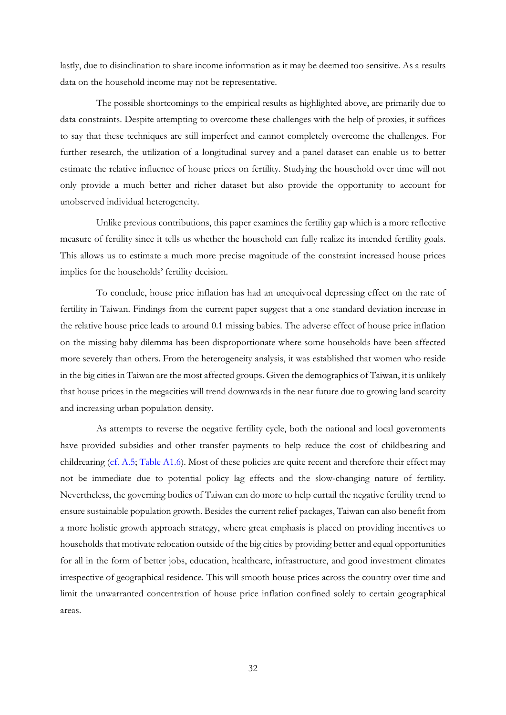lastly, due to disinclination to share income information as it may be deemed too sensitive. As a results data on the household income may not be representative.

The possible shortcomings to the empirical results as highlighted above, are primarily due to data constraints. Despite attempting to overcome these challenges with the help of proxies, it suffices to say that these techniques are still imperfect and cannot completely overcome the challenges. For further research, the utilization of a longitudinal survey and a panel dataset can enable us to better estimate the relative influence of house prices on fertility. Studying the household over time will not only provide a much better and richer dataset but also provide the opportunity to account for unobserved individual heterogeneity.

Unlike previous contributions, this paper examines the fertility gap which is a more reflective measure of fertility since it tells us whether the household can fully realize its intended fertility goals. This allows us to estimate a much more precise magnitude of the constraint increased house prices implies for the households' fertility decision.

To conclude, house price inflation has had an unequivocal depressing effect on the rate of fertility in Taiwan. Findings from the current paper suggest that a one standard deviation increase in the relative house price leads to around 0.1 missing babies. The adverse effect of house price inflation on the missing baby dilemma has been disproportionate where some households have been affected more severely than others. From the heterogeneity analysis, it was established that women who reside in the big cities in Taiwan are the most affected groups. Given the demographics of Taiwan, it is unlikely that house prices in the megacities will trend downwards in the near future due to growing land scarcity and increasing urban population density.

As attempts to reverse the negative fertility cycle, both the national and local governments have provided subsidies and other transfer payments to help reduce the cost of childbearing and childrearing [\(cf. A.5;](#page-41-3) [Table A1.6\)](#page-43-0). Most of these policies are quite recent and therefore their effect may not be immediate due to potential policy lag effects and the slow-changing nature of fertility. Nevertheless, the governing bodies of Taiwan can do more to help curtail the negative fertility trend to ensure sustainable population growth. Besides the current relief packages, Taiwan can also benefit from a more holistic growth approach strategy, where great emphasis is placed on providing incentives to households that motivate relocation outside of the big cities by providing better and equal opportunities for all in the form of better jobs, education, healthcare, infrastructure, and good investment climates irrespective of geographical residence. This will smooth house prices across the country over time and limit the unwarranted concentration of house price inflation confined solely to certain geographical areas.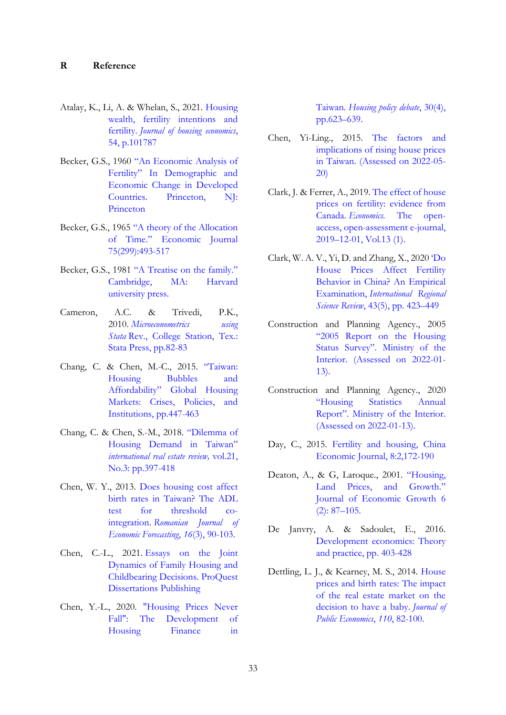- <span id="page-36-0"></span>Atalay, K., Li, A. & Whelan, S., 2021. [Housing](https://www-sciencedirect-com.ezproxy.ub.gu.se/science/article/pii/S1051137721000371)  [wealth, fertility intentions and](https://www-sciencedirect-com.ezproxy.ub.gu.se/science/article/pii/S1051137721000371)  fertility. *[Journal of housing economics](https://www-sciencedirect-com.ezproxy.ub.gu.se/science/article/pii/S1051137721000371)*, [54, p.101787](https://www-sciencedirect-com.ezproxy.ub.gu.se/science/article/pii/S1051137721000371)
- <span id="page-36-7"></span>Becker, G.S., 1960 ["An Economic Analysis of](https://www.nber.org/system/files/chapters/c2387/c2387.pdf)  [Fertility" In Demographic and](https://www.nber.org/system/files/chapters/c2387/c2387.pdf)  [Economic Change in Developed](https://www.nber.org/system/files/chapters/c2387/c2387.pdf)  [Countries. Princeton, NJ:](https://www.nber.org/system/files/chapters/c2387/c2387.pdf)  [Princeton](https://www.nber.org/system/files/chapters/c2387/c2387.pdf)
- <span id="page-36-4"></span>Becker, G.S., 1965 ["A theory of the Allocation](https://academic.oup.com/ej/article-abstract/75/299/493/5250146?redirectedFrom=fulltext)  [of Time." Economic Journal](https://academic.oup.com/ej/article-abstract/75/299/493/5250146?redirectedFrom=fulltext)  [75\(299\):493-517](https://academic.oup.com/ej/article-abstract/75/299/493/5250146?redirectedFrom=fulltext)
- Becker, G.S., 1981 ["A Treatise on the family."](https://brunofvieira.files.wordpress.com/2012/12/gary-becker-a-treatise-on-the-family.pdf)  [Cambridge, MA: Harvard](https://brunofvieira.files.wordpress.com/2012/12/gary-becker-a-treatise-on-the-family.pdf) [university press.](https://brunofvieira.files.wordpress.com/2012/12/gary-becker-a-treatise-on-the-family.pdf)
- <span id="page-36-11"></span>Cameron, A.C. & Trivedi, P.K., 2010. *[Microeconometrics using](https://gu-se-primo.hosted.exlibrisgroup.com/primo-explore/search?query=any,contains,Microeconometrics%20Using%20Stata&vid=46GUB_VU1&search_scope=default_scope&sortby=rank&lang=sv_SE)  Stata* [Rev., College Station, Tex.:](https://gu-se-primo.hosted.exlibrisgroup.com/primo-explore/search?query=any,contains,Microeconometrics%20Using%20Stata&vid=46GUB_VU1&search_scope=default_scope&sortby=rank&lang=sv_SE)  [Stata Press, pp.82-83](https://gu-se-primo.hosted.exlibrisgroup.com/primo-explore/search?query=any,contains,Microeconometrics%20Using%20Stata&vid=46GUB_VU1&search_scope=default_scope&sortby=rank&lang=sv_SE)
- Chang, C. & Chen, M.-C., 2015. ["Taiwan:](https://www.researchgate.net/publication/315766152_Taiwan_Housing_Bubbles_and_Affordability)  [Housing Bubbles and](https://www.researchgate.net/publication/315766152_Taiwan_Housing_Bubbles_and_Affordability)  [Affordability" Global Housing](https://www.researchgate.net/publication/315766152_Taiwan_Housing_Bubbles_and_Affordability)  Markets: Crises, Policies, and [Institutions, pp.447-463](https://www.researchgate.net/publication/315766152_Taiwan_Housing_Bubbles_and_Affordability)
- <span id="page-36-2"></span>Chang, C. & Chen, S.-M., 2018. ["Dilemma of](https://www.gssinst.org/irer/wp-content/uploads/2020/10/v21n3-dilemma-of-housing-demand-in-taiwan.pdf)  [Housing Demand in Taiwan"](https://www.gssinst.org/irer/wp-content/uploads/2020/10/v21n3-dilemma-of-housing-demand-in-taiwan.pdf)  *[international real estate review,](https://www.gssinst.org/irer/wp-content/uploads/2020/10/v21n3-dilemma-of-housing-demand-in-taiwan.pdf)* vol.21, [No.3: pp.397-418](https://www.gssinst.org/irer/wp-content/uploads/2020/10/v21n3-dilemma-of-housing-demand-in-taiwan.pdf)
- <span id="page-36-1"></span>Chen, W. Y., 2013. [Does housing cost affect](https://ipe.ro/rjef/rjef3_13/rjef3_2013p90-103.pdf)  [birth rates in Taiwan? The ADL](https://ipe.ro/rjef/rjef3_13/rjef3_2013p90-103.pdf)  [test for threshold co](https://ipe.ro/rjef/rjef3_13/rjef3_2013p90-103.pdf)integration. *[Romanian Journal of](https://ipe.ro/rjef/rjef3_13/rjef3_2013p90-103.pdf)  [Economic Forecasting](https://ipe.ro/rjef/rjef3_13/rjef3_2013p90-103.pdf)*, *16*(3), 90-103.
- Chen, C.-L., 2021. [Essays on the Joint](https://www.proquest.com/docview/2554281894?accountid=11162&parentSessionId=X0s0Nwvd41FYovoLk%2FUTWT%2B2hdNMs2yko0Cnqsu7Ywg%3D&pq-origsite=primo)  [Dynamics of Family Housing and](https://www.proquest.com/docview/2554281894?accountid=11162&parentSessionId=X0s0Nwvd41FYovoLk%2FUTWT%2B2hdNMs2yko0Cnqsu7Ywg%3D&pq-origsite=primo)  [Childbearing Decisions. ProQuest](https://www.proquest.com/docview/2554281894?accountid=11162&parentSessionId=X0s0Nwvd41FYovoLk%2FUTWT%2B2hdNMs2yko0Cnqsu7Ywg%3D&pq-origsite=primo)  [Dissertations Publishing](https://www.proquest.com/docview/2554281894?accountid=11162&parentSessionId=X0s0Nwvd41FYovoLk%2FUTWT%2B2hdNMs2yko0Cnqsu7Ywg%3D&pq-origsite=primo)
- Chen, Y.-L., 2020. ["Housing Prices Never](https://www-tandfonline-com.ezproxy.ub.gu.se/doi/full/10.1080/10511482.2020.1714691)  [Fall": The Development of](https://www-tandfonline-com.ezproxy.ub.gu.se/doi/full/10.1080/10511482.2020.1714691)  [Housing Finance in](https://www-tandfonline-com.ezproxy.ub.gu.se/doi/full/10.1080/10511482.2020.1714691)

<span id="page-36-12"></span>Taiwan. *[Housing policy debate](https://www-tandfonline-com.ezproxy.ub.gu.se/doi/full/10.1080/10511482.2020.1714691)*, 30(4), [pp.623](https://www-tandfonline-com.ezproxy.ub.gu.se/doi/full/10.1080/10511482.2020.1714691)–639.

- Chen, Yi-Ling., 2015. [The factors and](https://www.brookings.edu/opinions/the-factors-and-implications-of-rising-housing-prices-in-taiwan/)  [implications of rising house prices](https://www.brookings.edu/opinions/the-factors-and-implications-of-rising-housing-prices-in-taiwan/)  [in Taiwan. \(Assessed on 2022-05-](https://www.brookings.edu/opinions/the-factors-and-implications-of-rising-housing-prices-in-taiwan/) [20\)](https://www.brookings.edu/opinions/the-factors-and-implications-of-rising-housing-prices-in-taiwan/)
- Clark, J. & Ferrer, A., 2019[. The effect of house](https://www.degruyter.com/document/doi/10.5018/economics-ejournal.ja.2019-38/html)  [prices on fertility: evidence from](https://www.degruyter.com/document/doi/10.5018/economics-ejournal.ja.2019-38/html)  Canada. *Economics.* [The open](https://www.degruyter.com/document/doi/10.5018/economics-ejournal.ja.2019-38/html)[access, open-assessment e-journal,](https://www.degruyter.com/document/doi/10.5018/economics-ejournal.ja.2019-38/html)  2019–[12-01, Vol.13 \(1\).](https://www.degruyter.com/document/doi/10.5018/economics-ejournal.ja.2019-38/html)
- <span id="page-36-8"></span>Clark, W. A. V., Yi, D. and Zhang, X., 2020 ['Do](https://journals-sagepub-com.ezproxy.ub.gu.se/doi/full/10.1177/0160017620922885)  [House Prices Affect Fertility](https://journals-sagepub-com.ezproxy.ub.gu.se/doi/full/10.1177/0160017620922885)  [Behavior in China? An Empirical](https://journals-sagepub-com.ezproxy.ub.gu.se/doi/full/10.1177/0160017620922885)  Examination, *[International Regional](https://journals-sagepub-com.ezproxy.ub.gu.se/doi/full/10.1177/0160017620922885)  Science Review*[, 43\(5\), pp. 423](https://journals-sagepub-com.ezproxy.ub.gu.se/doi/full/10.1177/0160017620922885)–449
- Construction and Planning Agency., 2005 ["2005 Report on the Housing](https://pip.moi.gov.tw/V3/E/SCRE0103.aspx)  Status Survey". [Ministry of the](https://pip.moi.gov.tw/V3/E/SCRE0103.aspx)  [Interior. \(Assessed on 2022-01-](https://pip.moi.gov.tw/V3/E/SCRE0103.aspx) [13\).](https://pip.moi.gov.tw/V3/E/SCRE0103.aspx)
- Construction and Planning Agency., 2020 ["Housing Statistics Annual](https://pip.moi.gov.tw/V3/Z/SCRZ0211.aspx?mode=PN02)  Report"[. Ministry of the Interior.](https://pip.moi.gov.tw/V3/Z/SCRZ0211.aspx?mode=PN02)  [\(Assessed on 2022-01-13\).](https://pip.moi.gov.tw/V3/Z/SCRZ0211.aspx?mode=PN02)
- <span id="page-36-9"></span>Day, C., 2015. [Fertility and housing,](https://www.tandfonline.com/doi/abs/10.1080/17538963.2015.1080907) China [Economic Journal, 8:2,172-190](https://www.tandfonline.com/doi/abs/10.1080/17538963.2015.1080907)
- <span id="page-36-10"></span>Deaton, A., & G, Laroque., 2001. ["Housing,](https://www-jstor-org.ezproxy.ub.gu.se/stable/40215868?seq=1)  [Land Prices, and Growth."](https://www-jstor-org.ezproxy.ub.gu.se/stable/40215868?seq=1)  [Journal of Economic](https://www-jstor-org.ezproxy.ub.gu.se/stable/40215868?seq=1) Growth 6 [\(2\): 87](https://www-jstor-org.ezproxy.ub.gu.se/stable/40215868?seq=1)–105.
- <span id="page-36-3"></span>De Janvry, A. & Sadoulet, E., 2016. [Development economics: Theory](https://web-p-ebscohost-com.ezproxy.ub.gu.se/ehost/ebookviewer/ebook/bmxlYmtfXzExNjUzNzFfX0FO0?sid=83e466c7-bb23-4fbb-a5d6-daf497209381@redis&vid=0&format=EB&rid=1)  [and practice, pp. 403-428](https://web-p-ebscohost-com.ezproxy.ub.gu.se/ehost/ebookviewer/ebook/bmxlYmtfXzExNjUzNzFfX0FO0?sid=83e466c7-bb23-4fbb-a5d6-daf497209381@redis&vid=0&format=EB&rid=1)
- <span id="page-36-6"></span><span id="page-36-5"></span>Dettling, L. J., & Kearney, M. S., 2014. [House](https://www-sciencedirect-com.ezproxy.ub.gu.se/science/article/pii/S0047272713001904)  [prices and birth rates: The impact](https://www-sciencedirect-com.ezproxy.ub.gu.se/science/article/pii/S0047272713001904)  [of the real estate market on the](https://www-sciencedirect-com.ezproxy.ub.gu.se/science/article/pii/S0047272713001904)  [decision to have a baby.](https://www-sciencedirect-com.ezproxy.ub.gu.se/science/article/pii/S0047272713001904) *Journal of [Public Economics](https://www-sciencedirect-com.ezproxy.ub.gu.se/science/article/pii/S0047272713001904)*, *110*, 82-100.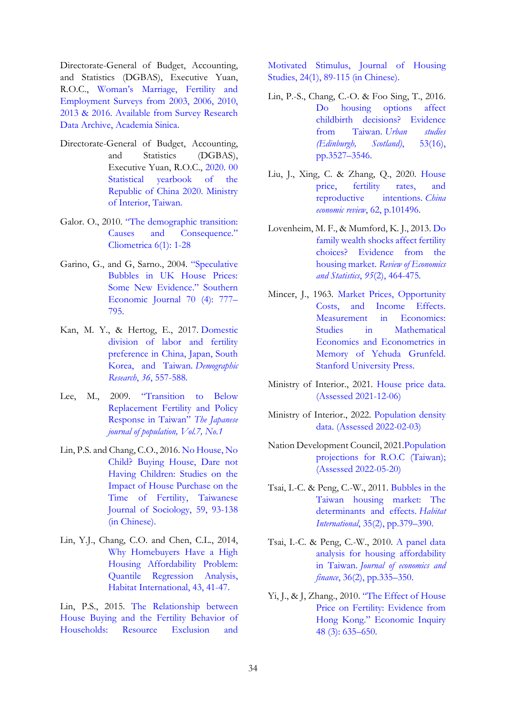Directorate-General of Budget, Accounting, and Statistics (DGBAS), Executive Yuan, R.O.C., Woman's [Marriage, Fertility and](https://srda.sinica.edu.tw/index_en.php)  [Employment Surveys from 2003, 2006, 2010,](https://srda.sinica.edu.tw/index_en.php)  [2013 & 2016. Available from Survey Research](https://srda.sinica.edu.tw/index_en.php)  [Data Archive, Academia Sinica.](https://srda.sinica.edu.tw/index_en.php)

- Directorate-General of Budget, Accounting, and Statistics (DGBAS), Executive Yuan, R.O.C., [2020. 00](https://eng.dgbas.gov.tw/ct.asp?xItem=47680&ctNode=2351&mp=2)  [Statistical yearbook of the](https://eng.dgbas.gov.tw/ct.asp?xItem=47680&ctNode=2351&mp=2)  Republic [of China 2020. Ministry](https://eng.dgbas.gov.tw/ct.asp?xItem=47680&ctNode=2351&mp=2)  [of Interior, Taiwan.](https://eng.dgbas.gov.tw/ct.asp?xItem=47680&ctNode=2351&mp=2)
- Galor. O., 2010. ["The demographic transition:](https://pubmed.ncbi.nlm.nih.gov/25089157/)  [Causes and Consequence."](https://pubmed.ncbi.nlm.nih.gov/25089157/)  [Cliometrica 6\(1\): 1-28](https://pubmed.ncbi.nlm.nih.gov/25089157/)
- Garino, G., and G, Sarno., 2004. ["Speculative](https://www-jstor-org.ezproxy.ub.gu.se/stable/4135272?seq=1)  [Bubbles in UK House Prices:](https://www-jstor-org.ezproxy.ub.gu.se/stable/4135272?seq=1)  [Some New Evidence."](https://www-jstor-org.ezproxy.ub.gu.se/stable/4135272?seq=1) Southern [Economic Journal 70 \(4\): 777](https://www-jstor-org.ezproxy.ub.gu.se/stable/4135272?seq=1)– [795.](https://www-jstor-org.ezproxy.ub.gu.se/stable/4135272?seq=1)
- Kan, M. Y., & Hertog, E., 2017. [Domestic](https://www.demographic-research.org/volumes/vol36/18/default.htm)  [division of labor and fertility](https://www.demographic-research.org/volumes/vol36/18/default.htm)  [preference in China, Japan, South](https://www.demographic-research.org/volumes/vol36/18/default.htm)  [Korea, and Taiwan.](https://www.demographic-research.org/volumes/vol36/18/default.htm) *Demographic Research*, *36*[, 557-588.](https://www.demographic-research.org/volumes/vol36/18/default.htm)
- <span id="page-37-0"></span>Lee, M., 2009. "[Transition to Below](https://www.ipss.go.jp/webj-ad/Webjournal.files/population/2009_4/Web%20Journal_04.pdf)  [Replacement Fertility and Policy](https://www.ipss.go.jp/webj-ad/Webjournal.files/population/2009_4/Web%20Journal_04.pdf)  [Response in Taiwan"](https://www.ipss.go.jp/webj-ad/Webjournal.files/population/2009_4/Web%20Journal_04.pdf) *The Japanese [journal of population, Vol.7, No.1](https://www.ipss.go.jp/webj-ad/Webjournal.files/population/2009_4/Web%20Journal_04.pdf)*
- Lin, P.S. and Chang, C.O., 2016[. No House, No](http://www.realestate.com.tw/duckhouse/course%20record/106-1%20Housing%20Policy/week%2012/12-2-5.%20%E6%9E%97%E4%BD%A9%E8%90%B1(2016)%E8%B3%BC%E5%B1%8B%E8%88%87%E5%AE%B6%E6%88%B6%E7%94%9F%E8%82%B2%E8%A1%8C%E7%82%BA%E9%97%9C%E8%81%AF%E6%80%A7%E4%B9%8B%E7%A0%94%E7%A9%B6.pdf?fbclid=IwAR0aUVAn5ZW5RdiArk3uBolujiHI1cgREEvOYTgq01hWoXYLJUh9yPNJ694)  [Child? Buying House, Dare not](http://www.realestate.com.tw/duckhouse/course%20record/106-1%20Housing%20Policy/week%2012/12-2-5.%20%E6%9E%97%E4%BD%A9%E8%90%B1(2016)%E8%B3%BC%E5%B1%8B%E8%88%87%E5%AE%B6%E6%88%B6%E7%94%9F%E8%82%B2%E8%A1%8C%E7%82%BA%E9%97%9C%E8%81%AF%E6%80%A7%E4%B9%8B%E7%A0%94%E7%A9%B6.pdf?fbclid=IwAR0aUVAn5ZW5RdiArk3uBolujiHI1cgREEvOYTgq01hWoXYLJUh9yPNJ694)  [Having Children: Studies on the](http://www.realestate.com.tw/duckhouse/course%20record/106-1%20Housing%20Policy/week%2012/12-2-5.%20%E6%9E%97%E4%BD%A9%E8%90%B1(2016)%E8%B3%BC%E5%B1%8B%E8%88%87%E5%AE%B6%E6%88%B6%E7%94%9F%E8%82%B2%E8%A1%8C%E7%82%BA%E9%97%9C%E8%81%AF%E6%80%A7%E4%B9%8B%E7%A0%94%E7%A9%B6.pdf?fbclid=IwAR0aUVAn5ZW5RdiArk3uBolujiHI1cgREEvOYTgq01hWoXYLJUh9yPNJ694)  [Impact of House Purchase on the](http://www.realestate.com.tw/duckhouse/course%20record/106-1%20Housing%20Policy/week%2012/12-2-5.%20%E6%9E%97%E4%BD%A9%E8%90%B1(2016)%E8%B3%BC%E5%B1%8B%E8%88%87%E5%AE%B6%E6%88%B6%E7%94%9F%E8%82%B2%E8%A1%8C%E7%82%BA%E9%97%9C%E8%81%AF%E6%80%A7%E4%B9%8B%E7%A0%94%E7%A9%B6.pdf?fbclid=IwAR0aUVAn5ZW5RdiArk3uBolujiHI1cgREEvOYTgq01hWoXYLJUh9yPNJ694)  [Time of Fertility, Taiwanese](http://www.realestate.com.tw/duckhouse/course%20record/106-1%20Housing%20Policy/week%2012/12-2-5.%20%E6%9E%97%E4%BD%A9%E8%90%B1(2016)%E8%B3%BC%E5%B1%8B%E8%88%87%E5%AE%B6%E6%88%B6%E7%94%9F%E8%82%B2%E8%A1%8C%E7%82%BA%E9%97%9C%E8%81%AF%E6%80%A7%E4%B9%8B%E7%A0%94%E7%A9%B6.pdf?fbclid=IwAR0aUVAn5ZW5RdiArk3uBolujiHI1cgREEvOYTgq01hWoXYLJUh9yPNJ694)  [Journal of Sociology, 59, 93-138](http://www.realestate.com.tw/duckhouse/course%20record/106-1%20Housing%20Policy/week%2012/12-2-5.%20%E6%9E%97%E4%BD%A9%E8%90%B1(2016)%E8%B3%BC%E5%B1%8B%E8%88%87%E5%AE%B6%E6%88%B6%E7%94%9F%E8%82%B2%E8%A1%8C%E7%82%BA%E9%97%9C%E8%81%AF%E6%80%A7%E4%B9%8B%E7%A0%94%E7%A9%B6.pdf?fbclid=IwAR0aUVAn5ZW5RdiArk3uBolujiHI1cgREEvOYTgq01hWoXYLJUh9yPNJ694)  [\(in Chinese\).](http://www.realestate.com.tw/duckhouse/course%20record/106-1%20Housing%20Policy/week%2012/12-2-5.%20%E6%9E%97%E4%BD%A9%E8%90%B1(2016)%E8%B3%BC%E5%B1%8B%E8%88%87%E5%AE%B6%E6%88%B6%E7%94%9F%E8%82%B2%E8%A1%8C%E7%82%BA%E9%97%9C%E8%81%AF%E6%80%A7%E4%B9%8B%E7%A0%94%E7%A9%B6.pdf?fbclid=IwAR0aUVAn5ZW5RdiArk3uBolujiHI1cgREEvOYTgq01hWoXYLJUh9yPNJ694)
- Lin, Y.J., Chang, C.O. and Chen, C.L., 2014, [Why Homebuyers Have a High](https://www-sciencedirect-com.ezproxy.ub.gu.se/science/article/pii/S0197397514000149)  [Housing Affordability](https://www-sciencedirect-com.ezproxy.ub.gu.se/science/article/pii/S0197397514000149) Problem: [Quantile Regression Analysis,](https://www-sciencedirect-com.ezproxy.ub.gu.se/science/article/pii/S0197397514000149)  [Habitat International, 43, 41-47.](https://www-sciencedirect-com.ezproxy.ub.gu.se/science/article/pii/S0197397514000149)

Lin, P.S., 2015. [The Relationship between](http://www.realestate.com.tw/duckhouse/course%20record/104-1%20Housing%20Policy/week%2012/12-2-3.%20%E6%9E%97%E4%BD%A9%E8%90%B1(2015)%E5%AE%B6%E6%88%B6%E8%B3%BC%E5%B1%8B%E8%88%87%E7%94%9F%E8%82%B2%E8%A1%8C%E7%82%BA%E9%97%9C%E4%BF%82.pdf?fbclid=IwAR0caG2oOYAoWSOGpOF5dPnYhihTmmcYflMjBBFd9YlmIE4f6hziouH_QWQ)  [House Buying and the Fertility Behavior](http://www.realestate.com.tw/duckhouse/course%20record/104-1%20Housing%20Policy/week%2012/12-2-3.%20%E6%9E%97%E4%BD%A9%E8%90%B1(2015)%E5%AE%B6%E6%88%B6%E8%B3%BC%E5%B1%8B%E8%88%87%E7%94%9F%E8%82%B2%E8%A1%8C%E7%82%BA%E9%97%9C%E4%BF%82.pdf?fbclid=IwAR0caG2oOYAoWSOGpOF5dPnYhihTmmcYflMjBBFd9YlmIE4f6hziouH_QWQ) of [Households: Resource Exclusion and](http://www.realestate.com.tw/duckhouse/course%20record/104-1%20Housing%20Policy/week%2012/12-2-3.%20%E6%9E%97%E4%BD%A9%E8%90%B1(2015)%E5%AE%B6%E6%88%B6%E8%B3%BC%E5%B1%8B%E8%88%87%E7%94%9F%E8%82%B2%E8%A1%8C%E7%82%BA%E9%97%9C%E4%BF%82.pdf?fbclid=IwAR0caG2oOYAoWSOGpOF5dPnYhihTmmcYflMjBBFd9YlmIE4f6hziouH_QWQ) 

<span id="page-37-3"></span>[Motivated Stimulus, Journal of Housing](http://www.realestate.com.tw/duckhouse/course%20record/104-1%20Housing%20Policy/week%2012/12-2-3.%20%E6%9E%97%E4%BD%A9%E8%90%B1(2015)%E5%AE%B6%E6%88%B6%E8%B3%BC%E5%B1%8B%E8%88%87%E7%94%9F%E8%82%B2%E8%A1%8C%E7%82%BA%E9%97%9C%E4%BF%82.pdf?fbclid=IwAR0caG2oOYAoWSOGpOF5dPnYhihTmmcYflMjBBFd9YlmIE4f6hziouH_QWQ)  [Studies, 24\(1\), 89-115 \(in Chinese\).](http://www.realestate.com.tw/duckhouse/course%20record/104-1%20Housing%20Policy/week%2012/12-2-3.%20%E6%9E%97%E4%BD%A9%E8%90%B1(2015)%E5%AE%B6%E6%88%B6%E8%B3%BC%E5%B1%8B%E8%88%87%E7%94%9F%E8%82%B2%E8%A1%8C%E7%82%BA%E9%97%9C%E4%BF%82.pdf?fbclid=IwAR0caG2oOYAoWSOGpOF5dPnYhihTmmcYflMjBBFd9YlmIE4f6hziouH_QWQ)

- Lin, P.-S., Chang, C.-O. & Foo Sing, T., 2016. Do housing options affect [childbirth decisions? Evidence](https://www-jstor-org.ezproxy.ub.gu.se/stable/26151304?seq=1)  [from Taiwan.](https://www-jstor-org.ezproxy.ub.gu.se/stable/26151304?seq=1) *Urban studies [\(Edinburgh, Scotland\)](https://www-jstor-org.ezproxy.ub.gu.se/stable/26151304?seq=1)*, 53(16), [pp.3527](https://www-jstor-org.ezproxy.ub.gu.se/stable/26151304?seq=1)–3546.
- <span id="page-37-6"></span>Liu, J., Xing, C. & Zhang, Q., 2020. [House](https://www-sciencedirect-com.ezproxy.ub.gu.se/science/article/pii/S1043951X20300936)  [price, fertility rates, and](https://www-sciencedirect-com.ezproxy.ub.gu.se/science/article/pii/S1043951X20300936)  [reproductive intentions.](https://www-sciencedirect-com.ezproxy.ub.gu.se/science/article/pii/S1043951X20300936) *China economic review*[, 62, p.101496.](https://www-sciencedirect-com.ezproxy.ub.gu.se/science/article/pii/S1043951X20300936)
- <span id="page-37-7"></span><span id="page-37-4"></span>Lovenheim, M. F., & Mumford, K. J., 2013[. Do](https://direct-mit-edu.ezproxy.ub.gu.se/rest/article/95/2/464/58073/Do-Family-Wealth-Shocks-Affect-Fertility-Choices)  [family wealth shocks affect fertility](https://direct-mit-edu.ezproxy.ub.gu.se/rest/article/95/2/464/58073/Do-Family-Wealth-Shocks-Affect-Fertility-Choices)  [choices? Evidence from the](https://direct-mit-edu.ezproxy.ub.gu.se/rest/article/95/2/464/58073/Do-Family-Wealth-Shocks-Affect-Fertility-Choices)  housing market. *[Review of Economics](https://direct-mit-edu.ezproxy.ub.gu.se/rest/article/95/2/464/58073/Do-Family-Wealth-Shocks-Affect-Fertility-Choices)  and Statistics*, *95*[\(2\), 464-475.](https://direct-mit-edu.ezproxy.ub.gu.se/rest/article/95/2/464/58073/Do-Family-Wealth-Shocks-Affect-Fertility-Choices)
- <span id="page-37-2"></span>Mincer, J., 1963. Market Prices, Opportunity [Costs, and Income Effects.](https://scholar.google.com/scholar_lookup?title=Market%20Prices%2C%20Opportunity%20Costs%2C%20and%20Income%20Effects&author=J.%20Mincer&publication_year=1963)  [Measurement in Economics:](https://scholar.google.com/scholar_lookup?title=Market%20Prices%2C%20Opportunity%20Costs%2C%20and%20Income%20Effects&author=J.%20Mincer&publication_year=1963)  [Studies in Mathematical](https://scholar.google.com/scholar_lookup?title=Market%20Prices%2C%20Opportunity%20Costs%2C%20and%20Income%20Effects&author=J.%20Mincer&publication_year=1963)  [Economics and Econometrics in](https://scholar.google.com/scholar_lookup?title=Market%20Prices%2C%20Opportunity%20Costs%2C%20and%20Income%20Effects&author=J.%20Mincer&publication_year=1963)  [Memory of Yehuda Grunfeld.](https://scholar.google.com/scholar_lookup?title=Market%20Prices%2C%20Opportunity%20Costs%2C%20and%20Income%20Effects&author=J.%20Mincer&publication_year=1963)  [Stanford University Press.](https://scholar.google.com/scholar_lookup?title=Market%20Prices%2C%20Opportunity%20Costs%2C%20and%20Income%20Effects&author=J.%20Mincer&publication_year=1963)
- Ministry of Interior., 2021. [House price data.](https://pip.moi.gov.tw/V3/Default.aspx?fbclid=IwAR1lbthMyT5fktV47MAbj-T2rnhX_14AfxSAu806rwM4PPMyZtd59LeNOeE)  [\(Assessed 2021-12-06\)](https://pip.moi.gov.tw/V3/Default.aspx?fbclid=IwAR1lbthMyT5fktV47MAbj-T2rnhX_14AfxSAu806rwM4PPMyZtd59LeNOeE)
- Ministry of Interior., 2022. [Population density](https://eng.stat.gov.tw/np.asp?CtNode=1549)  [data. \(Assessed 2022-02-03\)](https://eng.stat.gov.tw/np.asp?CtNode=1549)
- Nation Development Council, 202[1.Population](https://web.archive.org/web/20140218220357/http:/www.ndc.gov.tw/encontent/m1.aspx?sNo=0000063)  [projections for R.O.C \(Taiwan\);](https://web.archive.org/web/20140218220357/http:/www.ndc.gov.tw/encontent/m1.aspx?sNo=0000063)  [\(Assessed 2022-05-20\)](https://web.archive.org/web/20140218220357/http:/www.ndc.gov.tw/encontent/m1.aspx?sNo=0000063)
- <span id="page-37-9"></span>Tsai, I.-C. & Peng, C.-W., 2011. [Bubbles in the](https://www-sciencedirect-com.ezproxy.ub.gu.se/science/article/pii/S0197397510000810)  [Taiwan housing market: The](https://www-sciencedirect-com.ezproxy.ub.gu.se/science/article/pii/S0197397510000810)  [determinants and effects.](https://www-sciencedirect-com.ezproxy.ub.gu.se/science/article/pii/S0197397510000810) *Habitat International*[, 35\(2\), pp.379](https://www-sciencedirect-com.ezproxy.ub.gu.se/science/article/pii/S0197397510000810)–390.
- <span id="page-37-8"></span>Tsai, I.-C. & Peng, C.-W., 2010. [A panel data](https://link-springer-com.ezproxy.ub.gu.se/article/10.1007/s12197-009-9119-x)  [analysis for housing affordability](https://link-springer-com.ezproxy.ub.gu.se/article/10.1007/s12197-009-9119-x)  in Taiwan. *[Journal of economics and](https://link-springer-com.ezproxy.ub.gu.se/article/10.1007/s12197-009-9119-x)  finance*[, 36\(2\), pp.335](https://link-springer-com.ezproxy.ub.gu.se/article/10.1007/s12197-009-9119-x)–350.
- <span id="page-37-5"></span><span id="page-37-1"></span>Yi, J., & J, Zhang., 2010. ["The Effect of House](https://onlinelibrary-wiley-com.ezproxy.ub.gu.se/doi/full/10.1111/j.1465-7295.2009.00213.x)  [Price on Fertility: Evidence from](https://onlinelibrary-wiley-com.ezproxy.ub.gu.se/doi/full/10.1111/j.1465-7295.2009.00213.x)  Hong Kong." [Economic Inquiry](https://onlinelibrary-wiley-com.ezproxy.ub.gu.se/doi/full/10.1111/j.1465-7295.2009.00213.x)  [48 \(3\): 635](https://onlinelibrary-wiley-com.ezproxy.ub.gu.se/doi/full/10.1111/j.1465-7295.2009.00213.x)–650.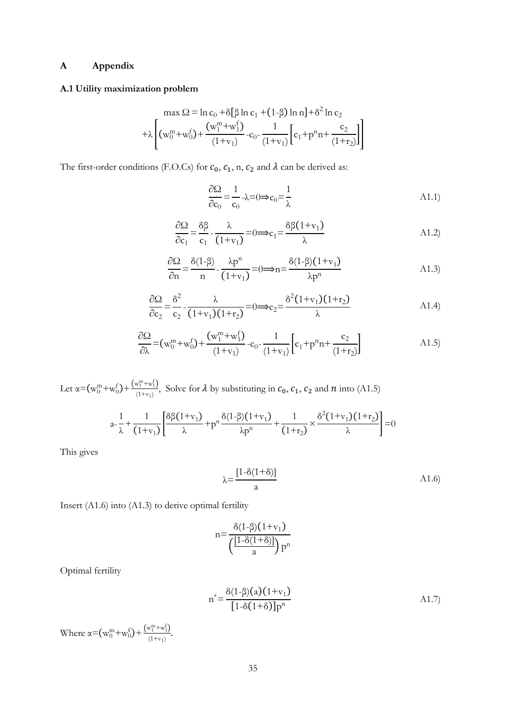## <span id="page-38-0"></span>**A Appendix**

## <span id="page-38-1"></span>**A.1 Utility maximization problem**

$$
\max \Omega = \ln c_0 + \delta [\beta \ln c_1 + (1-\beta) \ln n] + \delta^2 \ln c_2
$$
  
+  $\lambda \left[ (w_0^m + w_0^f) + \frac{(w_1^m + w_1^f)}{(1+v_1)} - c_0 - \frac{1}{(1+v_1)} \left[ c_1 + p^n n + \frac{c_2}{(1+v_2)} \right] \right]$ 

The first-order conditions (F.O.Cs) for  $c_0$ ,  $c_1$ , n,  $c_2$  and  $\lambda$  can be derived as:

$$
\frac{\partial \Omega}{\partial c_0} = \frac{1}{c_0} - \lambda = 0 \Rightarrow c_0 = \frac{1}{\lambda}
$$

$$
\frac{\partial \Omega}{\partial c_1} = \frac{\delta \beta}{c_1} - \frac{\lambda}{(1+v_1)} = 0 \implies c_1 = \frac{\delta \beta (1+v_1)}{\lambda}
$$

$$
\frac{\partial \Omega}{\partial n} = \frac{\delta(1-\beta)}{n} - \frac{\lambda p^n}{(1+v_1)} = 0 \implies n = \frac{\delta(1-\beta)(1+v_1)}{\lambda p^n}
$$
\nA1.3)

$$
\frac{\partial \Omega}{\partial c_2} = \frac{\delta^2}{c_2} - \frac{\lambda}{(1+v_1)(1+r_2)} = 0 \Longrightarrow c_2 = \frac{\delta^2 (1+v_1)(1+r_2)}{\lambda}
$$
 A1.4)

$$
\frac{\partial \Omega}{\partial \lambda} = (w_0^m + w_0^f) + \frac{(w_1^m + w_1^f)}{(1 + v_1)} - c_0 - \frac{1}{(1 + v_1)} \left[ c_1 + p^n n + \frac{c_2}{(1 + r_2)} \right]
$$
\n(A1.5)

Let 
$$
\alpha = (w_0^m + w_0^f) + \frac{(w_1^m + w_1^f)}{(1 + v_1)}
$$
, Solve for  $\lambda$  by substituting in  $c_0$ ,  $c_1$ ,  $c_2$  and *n* into (A1.5)

$$
a-\frac{1}{\lambda}+\frac{1}{(1+v_1)}\left[\frac{\delta\beta(1+v_1)}{\lambda}+p^n\frac{\delta(1-\beta)(1+v_1)}{\lambda p^n}+\frac{1}{(1+v_2)}\times\frac{\delta^2(1+v_1)(1+v_2)}{\lambda}\right]=0
$$

This gives

$$
\lambda = \frac{[1 - \delta(1 + \delta)]}{a} \tag{A1.6}
$$

Insert (A1.6) into (A1.3) to derive optimal fertility

$$
n = \frac{\delta(1-\beta)(1+v_1)}{\left(\frac{[1-\delta(1+\delta)]}{a}\right)p^n}
$$

Optimal fertility

$$
n^* = \frac{\delta(1-\beta)(a)(1+v_1)}{[1-\delta(1+\delta)]p^n}
$$
 A1.7)

Where  $\alpha = (w_0^m + w_0^f) + \frac{(w_1^m + w_1^f)}{(1 + w_0^f)}$  $\frac{w_1 + w_1}{(1+v_1)}$ .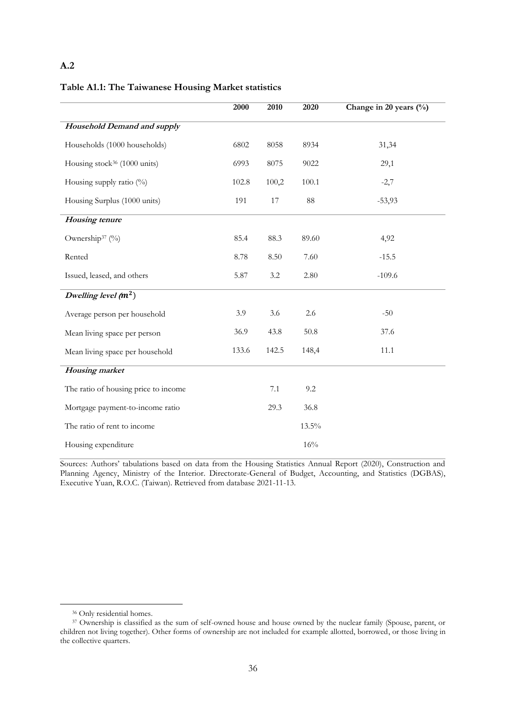### **A.2**

#### <span id="page-39-0"></span>**Table A1.1: The Taiwanese Housing Market statistics**

|                                          | 2000  | 2010    | 2020     | Change in 20 years (%) |
|------------------------------------------|-------|---------|----------|------------------------|
| <b>Household Demand and supply</b>       |       |         |          |                        |
| Households (1000 households)             | 6802  | 8058    | 8934     | 31,34                  |
| Housing stock <sup>36</sup> (1000 units) | 6993  | 8075    | 9022     | 29,1                   |
| Housing supply ratio (%)                 | 102.8 | 100,2   | 100.1    | $-2,7$                 |
| Housing Surplus (1000 units)             | 191   | $17\,$  | $88\,$   | $-53,93$               |
| <b>Housing</b> tenure                    |       |         |          |                        |
| Ownership <sup>37</sup> (%)              | 85.4  | 88.3    | 89.60    | 4,92                   |
| Rented                                   | 8.78  | 8.50    | 7.60     | $-15.5$                |
| Issued, leased, and others               | 5.87  | 3.2     | 2.80     | $-109.6$               |
| Dwelling level $(m^2)$                   |       |         |          |                        |
| Average person per household             | 3.9   | 3.6     | 2.6      | $-50$                  |
| Mean living space per person             | 36.9  | 43.8    | 50.8     | 37.6                   |
| Mean living space per household          | 133.6 | 142.5   | 148,4    | 11.1                   |
| <b>Housing</b> market                    |       |         |          |                        |
| The ratio of housing price to income     |       | $7.1\,$ | 9.2      |                        |
| Mortgage payment-to-income ratio         |       | 29.3    | 36.8     |                        |
| The ratio of rent to income              |       |         | $13.5\%$ |                        |
| Housing expenditure                      |       |         | 16%      |                        |

<span id="page-39-1"></span>Sources: Authors' tabulations based on data from the Housing Statistics Annual Report (2020), Construction and Planning Agency, Ministry of the Interior. Directorate-General of Budget, Accounting, and Statistics (DGBAS), Executive Yuan, R.O.C. (Taiwan). Retrieved from database 2021-11-13.

<sup>&</sup>lt;sup>36</sup> Only residential homes.

<sup>&</sup>lt;sup>37</sup> Ownership is classified as the sum of self-owned house and house owned by the nuclear family (Spouse, parent, or children not living together). Other forms of ownership are not included for example allotted, borrowed, or those living in the collective quarters.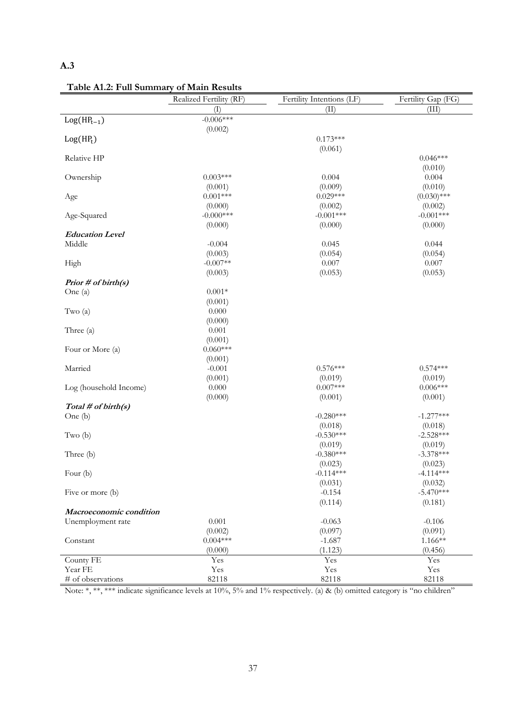## **A.3**

|                         | Realized Fertility (RF) | Fertility Intentions (LF) | Fertility Gap (FG)    |
|-------------------------|-------------------------|---------------------------|-----------------------|
|                         | $(\Gamma)$              | (II)                      | (III)                 |
| $Log(HP_{t-1})$         | $-0.006***$             |                           |                       |
|                         | (0.002)                 |                           |                       |
| $Log(HP_t)$             |                         | $0.173***$                |                       |
|                         |                         | (0.061)                   |                       |
| Relative HP             |                         |                           | $0.046***$            |
|                         |                         |                           | (0.010)               |
| Ownership               | $0.003***$              | 0.004                     | 0.004                 |
|                         | (0.001)                 | (0.009)                   | (0.010)               |
| Age                     | $0.001***$              | $0.029***$                | $(0.030)$ ***         |
|                         | (0.000)                 | (0.002)                   | (0.002)               |
| Age-Squared             | $-0.000$ ***            | $-0.001***$               | $-0.001***$           |
|                         | (0.000)                 | (0.000)                   | (0.000)               |
| <b>Education Level</b>  |                         |                           |                       |
| Middle                  | $-0.004$                | 0.045                     | 0.044                 |
|                         | (0.003)                 | (0.054)                   | (0.054)               |
| High                    | $-0.007**$              | 0.007                     | 0.007                 |
|                         | (0.003)                 | (0.053)                   | (0.053)               |
| Prior # of birth(s)     |                         |                           |                       |
| One (a)                 | $0.001*$                |                           |                       |
|                         | (0.001)                 |                           |                       |
| Two $(a)$               | 0.000                   |                           |                       |
|                         | (0.000)                 |                           |                       |
| Three (a)               | 0.001                   |                           |                       |
|                         | (0.001)                 |                           |                       |
| Four or More (a)        | $0.060***$              |                           |                       |
|                         | (0.001)                 |                           |                       |
| Married                 | $-0.001$                | $0.576***$                | $0.574***$            |
|                         | (0.001)<br>0.000        | (0.019)<br>$0.007***$     | (0.019)<br>$0.006***$ |
| Log (household Income)  | (0.000)                 | (0.001)                   | (0.001)               |
| Total # of birth(s)     |                         |                           |                       |
| One (b)                 |                         | $-0.280***$               | $-1.277***$           |
|                         |                         | (0.018)                   | (0.018)               |
| Two $(b)$               |                         | $-0.530***$               | $-2.528***$           |
|                         |                         | (0.019)                   | (0.019)               |
| Three (b)               |                         | $-0.380***$               | $-3.378***$           |
|                         |                         | (0.023)                   | (0.023)               |
| Four $(b)$              |                         | $-0.114***$               | $-4.114***$           |
|                         |                         | (0.031)                   | (0.032)               |
| Five or more (b)        |                         | $-0.154$                  | $-5.470***$           |
|                         |                         | (0.114)                   | (0.181)               |
| Macroeconomic condition |                         |                           |                       |
| Unemployment rate       | 0.001                   | $-0.063$                  | $-0.106$              |
|                         | (0.002)                 | (0.097)                   | (0.091)               |
| Constant                | $0.004***$              | $-1.687$                  | $1.166**$             |
|                         | (0.000)                 | (1.123)                   | (0.456)               |
| County FE               | Yes                     | Yes                       | Yes                   |
| Year FE                 | Yes                     | Yes                       | Yes                   |
| # of observations       | 82118                   | 82118                     | 82118                 |

**Table A1.2: Full Summary of Main Results**

Note: \*, \*\*, \*\*\* indicate significance levels at 10%, 5% and 1% respectively. (a) & (b) omitted category is "no children"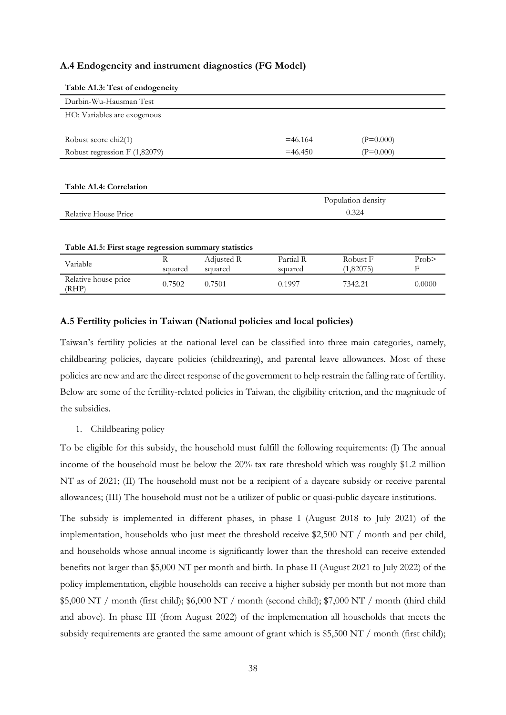#### **A.4 Endogeneity and instrument diagnostics (FG Model)**

<span id="page-41-1"></span>

| Table Al.3: Test of endogeneity                       |         |             |                    |             |      |
|-------------------------------------------------------|---------|-------------|--------------------|-------------|------|
| Durbin-Wu-Hausman Test                                |         |             |                    |             |      |
| HO: Variables are exogenous                           |         |             |                    |             |      |
|                                                       |         |             |                    |             |      |
| Robust score chi2(1)                                  |         |             | $=46.164$          | $(P=0.000)$ |      |
| Robust regression $F(1,82079)$                        |         |             | $=46.450$          | $(P=0.000)$ |      |
|                                                       |         |             |                    |             |      |
|                                                       |         |             |                    |             |      |
| Table A1.4: Correlation                               |         |             |                    |             |      |
|                                                       |         |             | Population density |             |      |
| Relative House Price                                  | 0.324   |             |                    |             |      |
|                                                       |         |             |                    |             |      |
|                                                       |         |             |                    |             |      |
|                                                       |         |             |                    |             |      |
| Table A1.5: First stage regression summary statistics |         |             |                    |             |      |
|                                                       | $R-$    | Adjusted R- | Partial R-         | Robust F    | Prob |
| Variable<br>Relative house price                      | squared | squared     | squared            | (1,82075)   | F    |

#### <span id="page-41-0"></span>**Table A1.3: Test of endogeneity**

#### <span id="page-41-3"></span><span id="page-41-2"></span>**A.5 Fertility policies in Taiwan (National policies and local policies)**

Taiwan's fertility policies at the national level can be classified into three main categories, namely, childbearing policies, daycare policies (childrearing), and parental leave allowances. Most of these policies are new and are the direct response of the government to help restrain the falling rate of fertility. Below are some of the fertility-related policies in Taiwan, the eligibility criterion, and the magnitude of the subsidies.

1. Childbearing policy

To be eligible for this subsidy, the household must fulfill the following requirements: (I) The annual income of the household must be below the 20% tax rate threshold which was roughly \$1.2 million NT as of 2021; (II) The household must not be a recipient of a daycare subsidy or receive parental allowances; (III) The household must not be a utilizer of public or quasi-public daycare institutions.

The subsidy is implemented in different phases, in phase I (August 2018 to July 2021) of the implementation, households who just meet the threshold receive \$2,500 NT / month and per child, and households whose annual income is significantly lower than the threshold can receive extended benefits not larger than \$5,000 NT per month and birth. In phase II (August 2021 to July 2022) of the policy implementation, eligible households can receive a higher subsidy per month but not more than \$5,000 NT / month (first child); \$6,000 NT / month (second child); \$7,000 NT / month (third child and above). In phase III (from August 2022) of the implementation all households that meets the subsidy requirements are granted the same amount of grant which is  $$5,500$  NT / month (first child);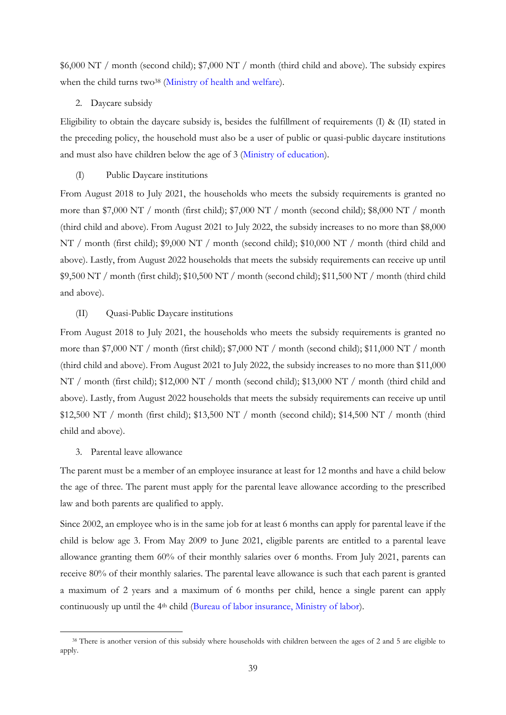\$6,000 NT / month (second child); \$7,000 NT / month (third child and above). The subsidy expires when the child turns two<sup>38</sup> [\(Ministry of health and welfare\)](https://www.mohw.gov.tw/mp-1.html).

#### 2. Daycare subsidy

Eligibility to obtain the daycare subsidy is, besides the fulfillment of requirements (I) & (II) stated in the preceding policy, the household must also be a user of public or quasi-public daycare institutions and must also have children below the age of 3 [\(Ministry of education\)](https://www.edu.tw/Default.aspx).

#### (I) Public Daycare institutions

From August 2018 to July 2021, the households who meets the subsidy requirements is granted no more than \$7,000 NT / month (first child); \$7,000 NT / month (second child); \$8,000 NT / month (third child and above). From August 2021 to July 2022, the subsidy increases to no more than \$8,000 NT / month (first child); \$9,000 NT / month (second child); \$10,000 NT / month (third child and above). Lastly, from August 2022 households that meets the subsidy requirements can receive up until  $$9,500$  NT / month (first child);  $$10,500$  NT / month (second child);  $$11,500$  NT / month (third child) and above).

#### (II) Quasi-Public Daycare institutions

From August 2018 to July 2021, the households who meets the subsidy requirements is granted no more than \$7,000 NT / month (first child); \$7,000 NT / month (second child); \$11,000 NT / month (third child and above). From August 2021 to July 2022, the subsidy increases to no more than \$11,000 NT / month (first child); \$12,000 NT / month (second child); \$13,000 NT / month (third child and above). Lastly, from August 2022 households that meets the subsidy requirements can receive up until \$12,500 NT / month (first child); \$13,500 NT / month (second child); \$14,500 NT / month (third child and above).

#### 3. Parental leave allowance

The parent must be a member of an employee insurance at least for 12 months and have a child below the age of three. The parent must apply for the parental leave allowance according to the prescribed law and both parents are qualified to apply.

Since 2002, an employee who is in the same job for at least 6 months can apply for parental leave if the child is below age 3. From May 2009 to June 2021, eligible parents are entitled to a parental leave allowance granting them 60% of their monthly salaries over 6 months. From July 2021, parents can receive 80% of their monthly salaries. The parental leave allowance is such that each parent is granted a maximum of 2 years and a maximum of 6 months per child, hence a single parent can apply continuously up until the 4th child [\(Bureau of labor insurance, Ministry of labor\)](https://www.bli.gov.tw/index.html).

<sup>&</sup>lt;sup>38</sup> There is another version of this subsidy where households with children between the ages of 2 and 5 are eligible to apply.